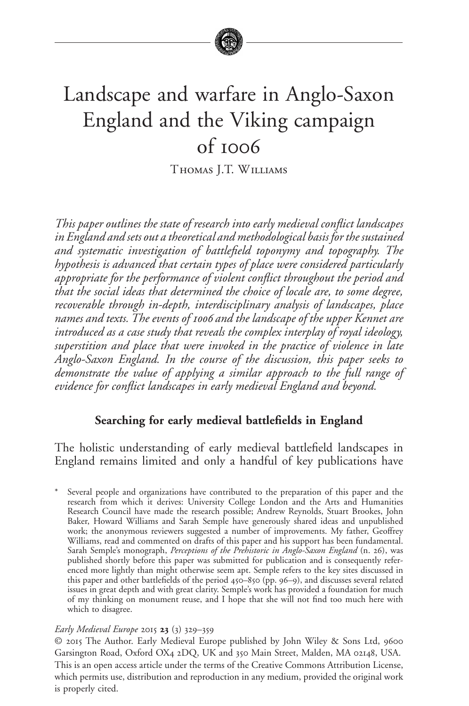

# Landscape and warfare in Anglo-Saxon England and the Viking campaign of 1006

Thomas J.T. Williams

*This paper outlines the state of research into early medieval conflict landscapes in England and sets out a theoretical and methodological basis for the sustained and systematic investigation of battlefield toponymy and topography. The hypothesis is advanced that certain types of place were considered particularly appropriate for the performance of violent conflict throughout the period and that the social ideas that determined the choice of locale are, to some degree, recoverable through in-depth, interdisciplinary analysis of landscapes, place names and texts. The events of 1006 and the landscape of the upper Kennet are introduced as a case study that reveals the complex interplay of royal ideology, superstition and place that were invoked in the practice of violence in late Anglo-Saxon England. In the course of the discussion, this paper seeks to demonstrate the value of applying a similar approach to the full range of evidence for conflict landscapes in early medieval England and beyond.*

# **Searching for early medieval battlefields in England**

The holistic understanding of early medieval battlefield landscapes in England remains limited and only a handful of key publications have

Several people and organizations have contributed to the preparation of this paper and the research from which it derives: University College London and the Arts and Humanities Research Council have made the research possible; Andrew Reynolds, Stuart Brookes, John Baker, Howard Williams and Sarah Semple have generously shared ideas and unpublished work; the anonymous reviewers suggested a number of improvements. My father, Geoffrey Williams, read and commented on drafts of this paper and his support has been fundamental. Sarah Semple's monograph, *Perceptions of the Prehistoric in Anglo-Saxon England* (n. 26), was published shortly before this paper was submitted for publication and is consequently referenced more lightly than might otherwise seem apt. Semple refers to the key sites discussed in this paper and other battlefields of the period 450–850 (pp. 96–9), and discusses several related issues in great depth and with great clarity. Semple's work has provided a foundation for much of my thinking on monument reuse, and I hope that she will not find too much here with which to disagree.

## *Early Medieval Europe* 2015 **23** (3) 329–359

© 2015 The Author. Early Medieval Europe published by John Wiley & Sons Ltd, 9600 Garsington Road, Oxford OX4 2DQ, UK and 350 Main Street, Malden, MA 02148, USA. This is an open access article under the terms of the [Creative Commons Attribution](http://creativecommons.org/licenses/by/4.0/) License, which permits use, distribution and reproduction in any medium, provided the original work is properly cited.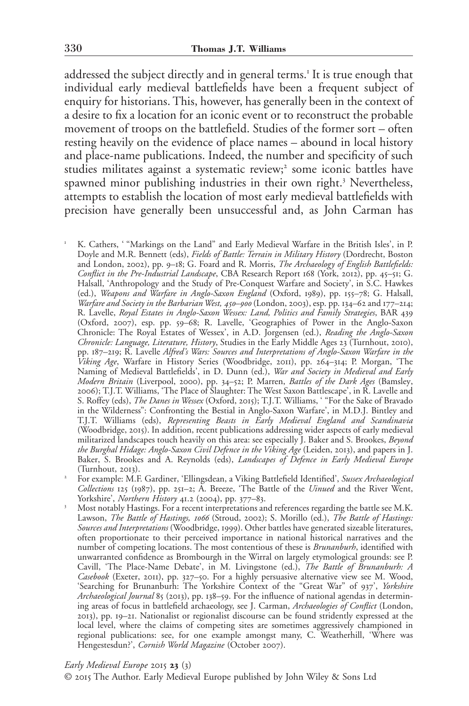addressed the subject directly and in general terms.<sup>1</sup> It is true enough that individual early medieval battlefields have been a frequent subject of enquiry for historians. This, however, has generally been in the context of a desire to fix a location for an iconic event or to reconstruct the probable movement of troops on the battlefield. Studies of the former sort – often resting heavily on the evidence of place names – abound in local history and place-name publications. Indeed, the number and specificity of such studies militates against a systematic review;<sup>2</sup> some iconic battles have spawned minor publishing industries in their own right.<sup>3</sup> Nevertheless, attempts to establish the location of most early medieval battlefields with precision have generally been unsuccessful and, as John Carman has

<sup>1</sup> K. Cathers, ' "Markings on the Land" and Early Medieval Warfare in the British Isles', in P. Doyle and M.R. Bennett (eds), *Fields of Battle: Terrain in Military History* (Dordrecht, Boston and London, 2002), pp. 9–18; G. Foard and R. Morris, *The Archaeology of English Battlefields: Conflict in the Pre-Industrial Landscape*, CBA Research Report 168 (York, 2012), pp. 45–51; G. Halsall, 'Anthropology and the Study of Pre-Conquest Warfare and Society', in S.C. Hawkes (ed.), *Weapons and Warfare in Anglo-Saxon England* (Oxford, 1989), pp. 155–78; G. Halsall, *Warfare and Society in the Barbarian West, 450–900* (London, 2003), esp. pp. 134–62 and 177–214; R. Lavelle, *Royal Estates in Anglo-Saxon Wessex: Land, Politics and Family Strategies*, BAR 439 (Oxford, 2007), esp. pp. 59–68; R. Lavelle, 'Geographies of Power in the Anglo-Saxon Chronicle: The Royal Estates of Wessex', in A.D. Jorgensen (ed.), *Reading the Anglo-Saxon Chronicle: Language, Literature, History*, Studies in the Early Middle Ages 23 (Turnhout, 2010), pp. 187–219; R. Lavelle *Alfred's Wars: Sources and Interpretations of Anglo-Saxon Warfare in the Viking Age*, Warfare in History Series (Woodbridge, 2011), pp. 264–314; P. Morgan, 'The Naming of Medieval Battlefields', in D. Dunn (ed.), *War and Society in Medieval and Early Modern Britain* (Liverpool, 2000), pp. 34–52; P. Marren, *Battles of the Dark Ages* (Bamsley, 2006); T.J.T. Williams, 'The Place of Slaughter: The West Saxon Battlescape', in R. Lavelle and S. Roffey (eds), *The Danes in Wessex* (Oxford, 2015); T.J.T. Williams, ' "For the Sake of Bravado in the Wilderness": Confronting the Bestial in Anglo-Saxon Warfare', in M.D.J. Bintley and T.J.T. Williams (eds), *Representing Beasts in Early Medieval England and Scandinavia* (Woodbridge, 2015). In addition, recent publications addressing wider aspects of early medieval militarized landscapes touch heavily on this area: see especially J. Baker and S. Brookes, *Beyond the Burghal Hidage: Anglo-Saxon Civil Defence in the Viking Age* (Leiden, 2013), and papers in J. Baker, S. Brookes and A. Reynolds (eds), *Landscapes of Defence in Early Medieval Europe*

- (Turnhout, <sup>2013</sup>). <sup>2</sup> For example: M.F. Gardiner, 'Ellingsdean, a Viking Battlefield Identified', *Sussex Archaeological Collections* 125 (1987), pp. 251–2; A. Breeze, 'The Battle of the *Uinued* and the River Went,
- Most notably Hastings. For a recent interpretations and references regarding the battle see M.K. Lawson, *The Battle of Hastings, 1066* (Stroud, 2002); S. Morillo (ed.), *The Battle of Hastings: Sources and Interpretations* (Woodbridge, 1999). Other battles have generated sizeable literatures, often proportionate to their perceived importance in national historical narratives and the number of competing locations. The most contentious of these is *Brunanburh*, identified with unwarranted confidence as Brombourgh in the Wirral on largely etymological grounds: see P. Cavill, 'The Place-Name Debate', in M. Livingstone (ed.), *The Battle of Brunanburh: A Casebook* (Exeter, 2011), pp. 327–50. For a highly persuasive alternative view see M. Wood, 'Searching for Brunanburh: The Yorkshire Context of the "Great War" of 937', *Yorkshire Archaeological Journal* 85 (2013), pp. 138–59. For the influence of national agendas in determining areas of focus in battlefield archaeology, see J. Carman, *Archaeologies of Conflict* (London, 2013), pp. 19–21. Nationalist or regionalist discourse can be found stridently expressed at the local level, where the claims of competing sites are sometimes aggressively championed in regional publications: see, for one example amongst many, C. Weatherhill, 'Where was Hengestesdun?', *Cornish World Magazine* (October 2007).

#### *Early Medieval Europe* 2015 **23** (3)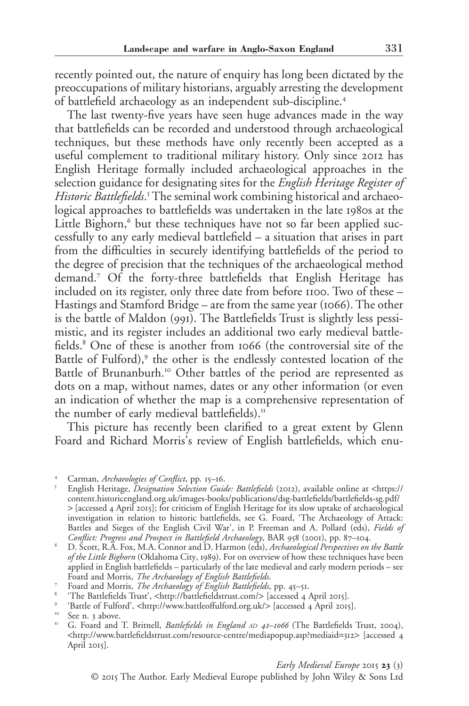recently pointed out, the nature of enquiry has long been dictated by the preoccupations of military historians, arguably arresting the development of battlefield archaeology as an independent sub-discipline.<sup>4</sup>

The last twenty-five years have seen huge advances made in the way that battlefields can be recorded and understood through archaeological techniques, but these methods have only recently been accepted as a useful complement to traditional military history. Only since 2012 has English Heritage formally included archaeological approaches in the selection guidance for designating sites for the *English Heritage Register of Historic Battlefields*. <sup>5</sup> The seminal work combining historical and archaeological approaches to battlefields was undertaken in the late 1980s at the Little Bighorn,<sup>6</sup> but these techniques have not so far been applied successfully to any early medieval battlefield – a situation that arises in part from the difficulties in securely identifying battlefields of the period to the degree of precision that the techniques of the archaeological method demand.<sup>7</sup> Of the forty-three battlefields that English Heritage has included on its register, only three date from before 1100. Two of these – Hastings and Stamford Bridge – are from the same year (1066). The other is the battle of Maldon (991). The Battlefields Trust is slightly less pessimistic, and its register includes an additional two early medieval battlefields.<sup>8</sup> One of these is another from 1066 (the controversial site of the Battle of Fulford),<sup>9</sup> the other is the endlessly contested location of the Battle of Brunanburh.<sup>10</sup> Other battles of the period are represented as dots on a map, without names, dates or any other information (or even an indication of whether the map is a comprehensive representation of the number of early medieval battlefields).<sup>11</sup>

This picture has recently been clarified to a great extent by Glenn Foard and Richard Morris's review of English battlefields, which enu-

<sup>4</sup> Carman, *Archaeologies of Conflict*, pp. <sup>15</sup>–16. <sup>5</sup> English Heritage, *Designation Selection Guide: Battlefields* (2012), available online at <sup>&</sup>lt;[https://](https://content.historicengland.org.uk/images-books/publications/dsg-battlefields/battlefields-sg.pdf/) [content.historicengland.org.uk/images-books/publications/dsg-battlefields/battlefields-sg.pdf/](https://content.historicengland.org.uk/images-books/publications/dsg-battlefields/battlefields-sg.pdf/) > [accessed 4 April 2015]; for criticism of English Heritage for its slow uptake of archaeological investigation in relation to historic battlefields, see G. Foard, 'The Archaeology of Attack: Battles and Sieges of the English Civil War', in P. Freeman and A. Pollard (eds), *Fields of*

*Conflict: Progress and Prospect in Battlefield Archaeology*, BAR <sup>958</sup> (2001), pp. <sup>87</sup>–104. <sup>6</sup> D. Scott, R.A. Fox, M.A. Connor and D. Harmon (eds), *Archaeological Perspectives on the Battle of the Little Bighorn* (Oklahoma City, 1989). For on overview of how these techniques have been applied in English battlefields – particularly of the late medieval and early modern periods – see<br>Foard and Morris, *The Archaeology of English Battlefields*.

Foard and Morris, *The Archaeology of English Battlefields*, pp. 45–51.<br>
<sup>8</sup> The Battlefields Trust', <<http://battlefieldstrust.com/>> [accessed 4 April 2015].<br>
<sup>9</sup> Battle of Fulford', <<http://www.battleoffulford.org.uk/>> [ <[http://www.battlefieldstrust.com/resource-centre/mediapopup.asp?mediaid](http://www.battlefieldstrust.com/resource-centre/mediapopup.asp?mediaid=312)=312> [accessed 4 April 2015].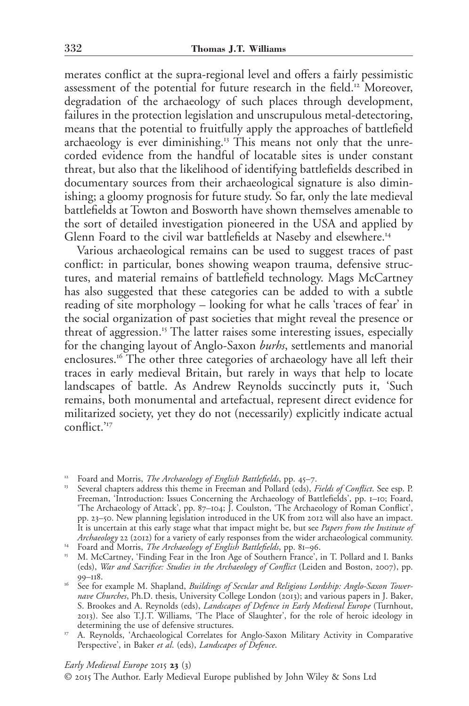merates conflict at the supra-regional level and offers a fairly pessimistic assessment of the potential for future research in the field.<sup>12</sup> Moreover, degradation of the archaeology of such places through development, failures in the protection legislation and unscrupulous metal-detectoring, means that the potential to fruitfully apply the approaches of battlefield archaeology is ever diminishing.<sup>13</sup> This means not only that the unrecorded evidence from the handful of locatable sites is under constant threat, but also that the likelihood of identifying battlefields described in documentary sources from their archaeological signature is also diminishing; a gloomy prognosis for future study. So far, only the late medieval battlefields at Towton and Bosworth have shown themselves amenable to the sort of detailed investigation pioneered in the USA and applied by Glenn Foard to the civil war battlefields at Naseby and elsewhere.<sup>14</sup>

Various archaeological remains can be used to suggest traces of past conflict: in particular, bones showing weapon trauma, defensive structures, and material remains of battlefield technology. Mags McCartney has also suggested that these categories can be added to with a subtle reading of site morphology – looking for what he calls 'traces of fear' in the social organization of past societies that might reveal the presence or threat of aggression.<sup>15</sup> The latter raises some interesting issues, especially for the changing layout of Anglo-Saxon *burhs*, settlements and manorial enclosures.<sup>16</sup> The other three categories of archaeology have all left their traces in early medieval Britain, but rarely in ways that help to locate landscapes of battle. As Andrew Reynolds succinctly puts it, 'Such remains, both monumental and artefactual, represent direct evidence for militarized society, yet they do not (necessarily) explicitly indicate actual  $\text{conflict}$ <sup>17</sup>

#### *Early Medieval Europe* 2015 **23** (3)

<sup>&</sup>lt;sup>12</sup> Foard and Morris, *The Archaeology of English Battlefields*, pp. 45–7.<br><sup>13</sup> Several chapters address this theme in Freeman and Pollard (eds), *Fields of Conflict*. See esp. P. Freeman, 'Introduction: Issues Concerning the Archaeology of Battlefields', pp. 1–10; Foard, 'The Archaeology of Attack', pp. 87–104; J. Coulston, 'The Archaeology of Roman Conflict', pp. 23–50. New planning legislation introduced in the UK from 2012 will also have an impact. It is uncertain at this early stage what that impact might be, but see *Papers from the Institute of*

<sup>&</sup>lt;sup>14</sup> Foard and Morris, *The Archaeology of English Battlefields*, pp. 81–96.<br><sup>15</sup> M. McCartney, 'Finding Fear in the Iron Age of Southern France', in T. Pollard and I. Banks (eds), *War and Sacrifice: Studies in the Archaeology of Conflict* (Leiden and Boston, 2007), pp.

<sup>99</sup>–118. <sup>16</sup> See for example M. Shapland, *Buildings of Secular and Religious Lordship: Anglo-Saxon Towernave Churches*, Ph.D. thesis, University College London (2013); and various papers in J. Baker, S. Brookes and A. Reynolds (eds), *Landscapes of Defence in Early Medieval Europe* (Turnhout, 2013). See also T.J.T. Williams, 'The Place of Slaughter', for the role of heroic ideology in

determining the use of defensive structures.<br><sup>17</sup> A. Reynolds, 'Archaeological Correlates for Anglo-Saxon Military Activity in Comparative Perspective', in Baker *et al*. (eds), *Landscapes of Defence*.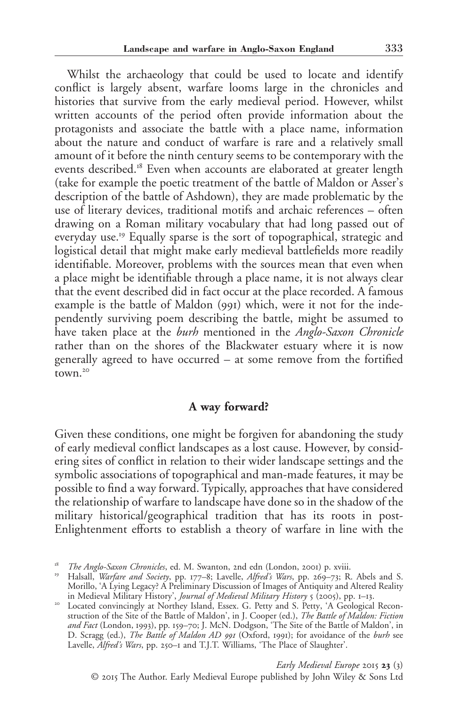Whilst the archaeology that could be used to locate and identify conflict is largely absent, warfare looms large in the chronicles and histories that survive from the early medieval period. However, whilst written accounts of the period often provide information about the protagonists and associate the battle with a place name, information about the nature and conduct of warfare is rare and a relatively small amount of it before the ninth century seems to be contemporary with the events described.<sup>18</sup> Even when accounts are elaborated at greater length (take for example the poetic treatment of the battle of Maldon or Asser's description of the battle of Ashdown), they are made problematic by the use of literary devices, traditional motifs and archaic references – often drawing on a Roman military vocabulary that had long passed out of everyday use.<sup>19</sup> Equally sparse is the sort of topographical, strategic and logistical detail that might make early medieval battlefields more readily identifiable. Moreover, problems with the sources mean that even when a place might be identifiable through a place name, it is not always clear that the event described did in fact occur at the place recorded. A famous example is the battle of Maldon (991) which, were it not for the independently surviving poem describing the battle, might be assumed to have taken place at the *burh* mentioned in the *Anglo-Saxon Chronicle* rather than on the shores of the Blackwater estuary where it is now generally agreed to have occurred – at some remove from the fortified town.<sup>20</sup>

## **A way forward?**

Given these conditions, one might be forgiven for abandoning the study of early medieval conflict landscapes as a lost cause. However, by considering sites of conflict in relation to their wider landscape settings and the symbolic associations of topographical and man-made features, it may be possible to find a way forward. Typically, approaches that have considered the relationship of warfare to landscape have done so in the shadow of the military historical/geographical tradition that has its roots in post-Enlightenment efforts to establish a theory of warfare in line with the

*Early Medieval Europe* 2015 **23** (3)

<sup>18</sup> *The Anglo-Saxon Chronicles*, ed. M. Swanton, <sup>2</sup>nd edn (London, <sup>2001</sup>) p. xviii. <sup>19</sup> Halsall, *Warfare and Society*, pp. <sup>177</sup>–8; Lavelle, *Alfred's Wars*, pp. <sup>269</sup>–73; R. Abels and S. Morillo, 'A Lying Legacy? A Preliminary Discussion of Images of Antiquity and Altered Reality<br>in Medieval Military History', Journal of Medieval Military History 5 (2005), pp. 1–13.

<sup>&</sup>lt;sup>20</sup> Located convincingly at Northey Island, Essex. G. Petty and S. Petty, 'A Geological Reconstruction of the Site of the Battle of Maldon', in J. Cooper (ed.), *The Battle of Maldon: Fiction and Fact* (London, 1993), pp. 159–70; J. McN. Dodgson, 'The Site of the Battle of Maldon', in D. Scragg (ed.), *The Battle of Maldon AD 991* (Oxford, 1991); for avoidance of the *burh* see Lavelle, *Alfred's Wars*, pp. 250–1 and T.J.T. Williams, 'The Place of Slaughter'.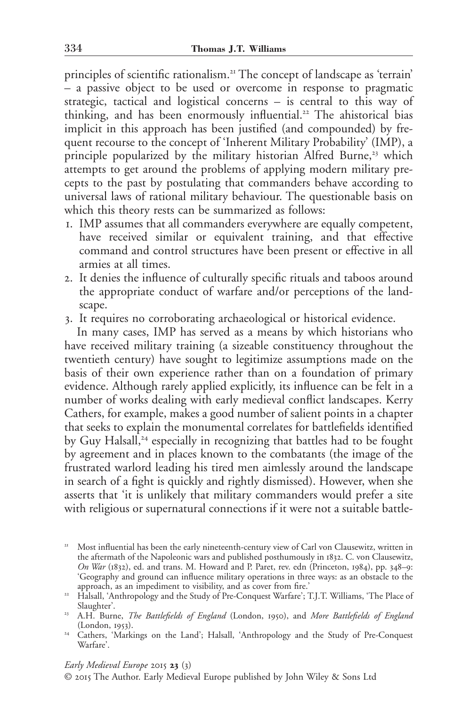principles of scientific rationalism.<sup>21</sup> The concept of landscape as 'terrain' – a passive object to be used or overcome in response to pragmatic strategic, tactical and logistical concerns – is central to this way of thinking, and has been enormously influential.<sup>22</sup> The ahistorical bias implicit in this approach has been justified (and compounded) by frequent recourse to the concept of 'Inherent Military Probability' (IMP), a principle popularized by the military historian Alfred Burne,<sup>23</sup> which attempts to get around the problems of applying modern military precepts to the past by postulating that commanders behave according to universal laws of rational military behaviour. The questionable basis on which this theory rests can be summarized as follows:

- 1. IMP assumes that all commanders everywhere are equally competent, have received similar or equivalent training, and that effective command and control structures have been present or effective in all armies at all times.
- 2. It denies the influence of culturally specific rituals and taboos around the appropriate conduct of warfare and/or perceptions of the landscape.
- 3. It requires no corroborating archaeological or historical evidence.

In many cases, IMP has served as a means by which historians who have received military training (a sizeable constituency throughout the twentieth century) have sought to legitimize assumptions made on the basis of their own experience rather than on a foundation of primary evidence. Although rarely applied explicitly, its influence can be felt in a number of works dealing with early medieval conflict landscapes. Kerry Cathers, for example, makes a good number of salient points in a chapter that seeks to explain the monumental correlates for battlefields identified by Guy Halsall,<sup>24</sup> especially in recognizing that battles had to be fought by agreement and in places known to the combatants (the image of the frustrated warlord leading his tired men aimlessly around the landscape in search of a fight is quickly and rightly dismissed). However, when she asserts that 'it is unlikely that military commanders would prefer a site with religious or supernatural connections if it were not a suitable battle-

#### *Early Medieval Europe* 2015 **23** (3)

<sup>&</sup>lt;sup>21</sup> Most influential has been the early nineteenth-century view of Carl von Clausewitz, written in the aftermath of the Napoleonic wars and published posthumously in 1832. C. von Clausewitz, *On War* (1832), ed. and trans. M. Howard and P. Paret, rev. edn (Princeton, 1984), pp. 348–9: 'Geography and ground can influence military operations in three ways: as an obstacle to the

approach, as an impediment to visibility of Pre-Conquest Warfare'; T.J.T. Williams, 'The Place of Slaughter'.

<sup>&</sup>lt;sup>23</sup> A.H. Burne, *The Battlefields of England* (London, 1950), and *More Battlefields of England* (London, <sup>1953</sup>). <sup>24</sup> Cathers, 'Markings on the Land'; Halsall, 'Anthropology and the Study of Pre-Conquest

Warfare'.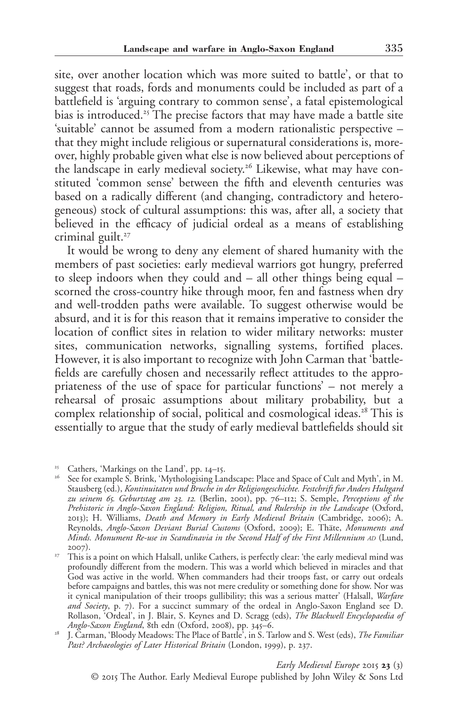site, over another location which was more suited to battle', or that to suggest that roads, fords and monuments could be included as part of a battlefield is 'arguing contrary to common sense', a fatal epistemological bias is introduced.<sup>25</sup> The precise factors that may have made a battle site 'suitable' cannot be assumed from a modern rationalistic perspective – that they might include religious or supernatural considerations is, moreover, highly probable given what else is now believed about perceptions of the landscape in early medieval society.<sup>26</sup> Likewise, what may have constituted 'common sense' between the fifth and eleventh centuries was based on a radically different (and changing, contradictory and heterogeneous) stock of cultural assumptions: this was, after all, a society that believed in the efficacy of judicial ordeal as a means of establishing criminal guilt.<sup>27</sup>

It would be wrong to deny any element of shared humanity with the members of past societies: early medieval warriors got hungry, preferred to sleep indoors when they could and – all other things being equal – scorned the cross-country hike through moor, fen and fastness when dry and well-trodden paths were available. To suggest otherwise would be absurd, and it is for this reason that it remains imperative to consider the location of conflict sites in relation to wider military networks: muster sites, communication networks, signalling systems, fortified places. However, it is also important to recognize with John Carman that 'battlefields are carefully chosen and necessarily reflect attitudes to the appropriateness of the use of space for particular functions' – not merely a rehearsal of prosaic assumptions about military probability, but a complex relationship of social, political and cosmological ideas.<sup>28</sup> This is essentially to argue that the study of early medieval battlefields should sit

<sup>&</sup>lt;sup>25</sup> Cathers, 'Markings on the Land', pp. 14–15.<br><sup>26</sup> See for example S. Brink, 'Mythologising Landscape: Place and Space of Cult and Myth', in M. Stausberg (ed.), *Kontinuitaten und Bruche in der Religiongeschichte. Festchrift fur Anders Hultgard zu seinem 65. Geburtstag am 23. 12.* (Berlin, 2001), pp. 76–112; S. Semple, *Perceptions of the Prehistoric in Anglo-Saxon England: Religion, Ritual, and Rulership in the Landscape* (Oxford, 2013); H. Williams, *Death and Memory in Early Medieval Britain* (Cambridge, 2006); A. Reynolds, *Anglo-Saxon Deviant Burial Customs* (Oxford, 2009); E. Thäte, *Monuments and Minds. Monument Re-use in Scandinavia in the Second Half of the First Millennium AD* (Lund, 2007).<br><sup>27</sup> This is a point on which Halsall, unlike Cathers, is perfectly clear: 'the early medieval mind was

profoundly different from the modern. This was a world which believed in miracles and that God was active in the world. When commanders had their troops fast, or carry out ordeals before campaigns and battles, this was not mere credulity or something done for show. Nor was it cynical manipulation of their troops gullibility; this was a serious matter' (Halsall, *Warfare and Society*, p. 7). For a succinct summary of the ordeal in Anglo-Saxon England see D. Rollason, 'Ordeal', in J. Blair, S. Keynes and D. Scragg (eds), *The Blackwell Encyclopaedia of*

*Anglo-Saxon England*, <sup>8</sup>th edn (Oxford, <sup>2008</sup>), pp. <sup>345</sup>–6. <sup>28</sup> J. Carman, 'Bloody Meadows: The Place of Battle', in S. Tarlow and S. West (eds), *The Familiar Past? Archaeologies of Later Historical Britain* (London, 1999), p. 237.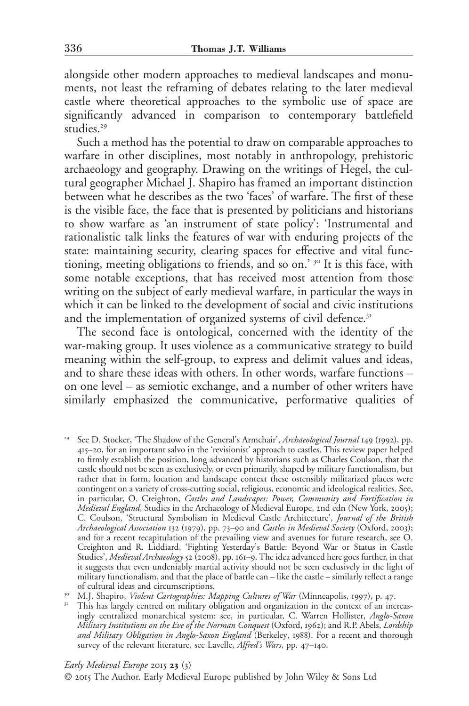alongside other modern approaches to medieval landscapes and monuments, not least the reframing of debates relating to the later medieval castle where theoretical approaches to the symbolic use of space are significantly advanced in comparison to contemporary battlefield studies.<sup>29</sup>

Such a method has the potential to draw on comparable approaches to warfare in other disciplines, most notably in anthropology, prehistoric archaeology and geography. Drawing on the writings of Hegel, the cultural geographer Michael J. Shapiro has framed an important distinction between what he describes as the two 'faces' of warfare. The first of these is the visible face, the face that is presented by politicians and historians to show warfare as 'an instrument of state policy': 'Instrumental and rationalistic talk links the features of war with enduring projects of the state: maintaining security, clearing spaces for effective and vital functioning, meeting obligations to friends, and so on.' <sup>30</sup> It is this face, with some notable exceptions, that has received most attention from those writing on the subject of early medieval warfare, in particular the ways in which it can be linked to the development of social and civic institutions and the implementation of organized systems of civil defence.<sup>31</sup>

The second face is ontological, concerned with the identity of the war-making group. It uses violence as a communicative strategy to build meaning within the self-group, to express and delimit values and ideas, and to share these ideas with others. In other words, warfare functions – on one level – as semiotic exchange, and a number of other writers have similarly emphasized the communicative, performative qualities of

<sup>29</sup> See D. Stocker, 'The Shadow of the General's Armchair', *Archaeological Journal* 149 (1992), pp. 415–20, for an important salvo in the 'revisionist' approach to castles. This review paper helped to firmly establish the position, long advanced by historians such as Charles Coulson, that the castle should not be seen as exclusively, or even primarily, shaped by military functionalism, but rather that in form, location and landscape context these ostensibly militarized places were contingent on a variety of cross-cutting social, religious, economic and ideological realities. See, in particular, O. Creighton, *Castles and Landscapes: Power, Community and Fortification in Medieval England*, Studies in the Archaeology of Medieval Europe, 2nd edn (New York, 2005); C. Coulson, 'Structural Symbolism in Medieval Castle Architecture', *Journal of the British Archaeological Association* 132 (1979), pp. 73–90 and *Castles in Medieval Society* (Oxford, 2003); and for a recent recapitulation of the prevailing view and avenues for future research, see O. Creighton and R. Liddiard, 'Fighting Yesterday's Battle: Beyond War or Status in Castle Studies', *Medieval Archaeology* 52 (2008), pp. 161–9. The idea advanced here goes further, in that it suggests that even undeniably martial activity should not be seen exclusively in the light of military functionalism, and that the place of battle can – like the castle – similarly reflect a range

<sup>30</sup> M.J. Shapiro, *Violent Cartographies: Mapping Cultures of War* (Minneapolis, 1997), p. 47.<br><sup>31</sup> This has largely centred on military obligation and organization in the context of an increasingly centralized monarchical system: see, in particular, C. Warren Hollister, *Anglo-Saxon Military Institutions on the Eve of the Norman Conquest* (Oxford, 1962); and R.P. Abels, *Lordship and Military Obligation in Anglo-Saxon England* (Berkeley, 1988). For a recent and thorough survey of the relevant literature, see Lavelle, *Alfred's Wars*, pp. 47–140.

#### *Early Medieval Europe* 2015 **23** (3)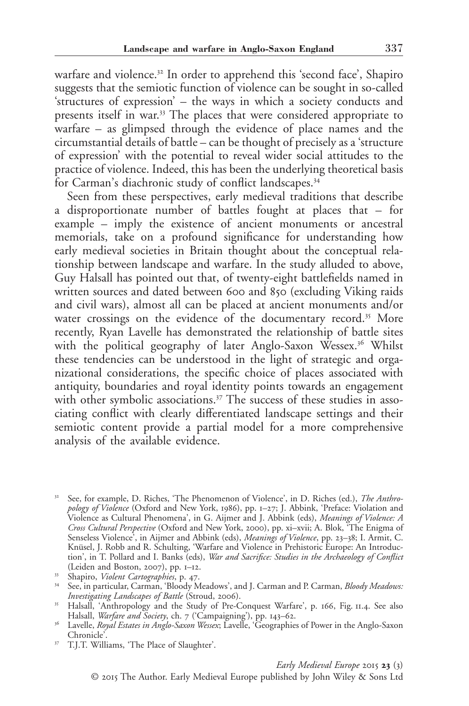warfare and violence.<sup>32</sup> In order to apprehend this 'second face', Shapiro suggests that the semiotic function of violence can be sought in so-called 'structures of expression' – the ways in which a society conducts and presents itself in war.<sup>33</sup> The places that were considered appropriate to warfare – as glimpsed through the evidence of place names and the circumstantial details of battle – can be thought of precisely as a 'structure of expression' with the potential to reveal wider social attitudes to the practice of violence. Indeed, this has been the underlying theoretical basis for Carman's diachronic study of conflict landscapes.<sup>34</sup>

Seen from these perspectives, early medieval traditions that describe a disproportionate number of battles fought at places that – for example – imply the existence of ancient monuments or ancestral memorials, take on a profound significance for understanding how early medieval societies in Britain thought about the conceptual relationship between landscape and warfare. In the study alluded to above, Guy Halsall has pointed out that, of twenty-eight battlefields named in written sources and dated between 600 and 850 (excluding Viking raids and civil wars), almost all can be placed at ancient monuments and/or water crossings on the evidence of the documentary record.<sup>35</sup> More recently, Ryan Lavelle has demonstrated the relationship of battle sites with the political geography of later Anglo-Saxon Wessex.<sup>36</sup> Whilst these tendencies can be understood in the light of strategic and organizational considerations, the specific choice of places associated with antiquity, boundaries and royal identity points towards an engagement with other symbolic associations.<sup>37</sup> The success of these studies in associating conflict with clearly differentiated landscape settings and their semiotic content provide a partial model for a more comprehensive analysis of the available evidence.

*Early Medieval Europe* 2015 **23** (3)

<sup>32</sup> See, for example, D. Riches, 'The Phenomenon of Violence', in D. Riches (ed.), *The Anthropology of Violence* (Oxford and New York, 1986), pp. 1–27; J. Abbink, 'Preface: Violation and Violence as Cultural Phenomena', in G. Aijmer and J. Abbink (eds), *Meanings of Violence: A Cross Cultural Perspective* (Oxford and New York, 2000), pp. xi–xvii; A. Blok, 'The Enigma of Senseless Violence', in Aijmer and Abbink (eds), *Meanings of Violence*, pp. 23–38; I. Armit, C. Knüsel, J. Robb and R. Schulting, 'Warfare and Violence in Prehistoric Europe: An Introduction', in T. Pollard and I. Banks (eds), *War and Sacrifice: Studies in the Archaeology of Conflict*

<sup>&</sup>lt;sup>33</sup> Shapiro, *Violent Cartographies*, p. 47.<br><sup>34</sup> See, in particular, Carman, 'Bloody Meadows', and J. Carman and P. Carman, *Bloody Meadows:*<br>*Investigating Landscapes of Battle* (Stroud, 2006).

<sup>&</sup>lt;sup>35</sup> Halsall, 'Anthropology and the Study of Pre-Conquest Warfare', p. 166, Fig. 11.4. See also Halsall, *Warfare and Society*, ch. 7 ('Campaigning'), pp. 143–62.<br><sup>36</sup> Lavelle, *Royal Estates in Anglo-Saxon Wessex*; Lavelle, 'Geographies of Power in the Anglo-Saxon

Chronicle'. <sup>37</sup> T.J.T. Williams, 'The Place of Slaughter'.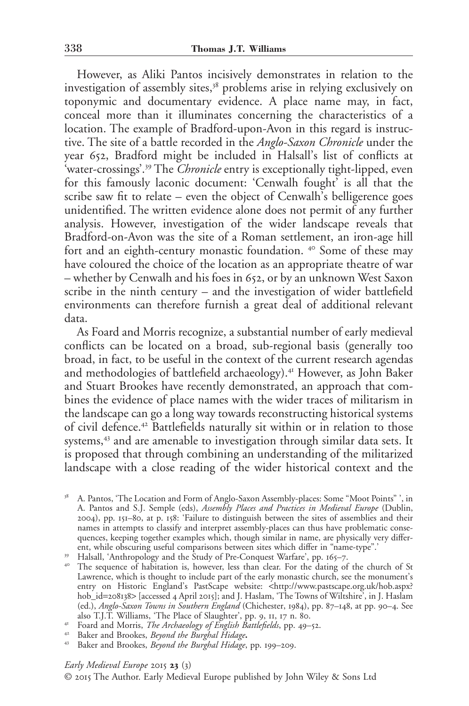However, as Aliki Pantos incisively demonstrates in relation to the investigation of assembly sites,<sup>38</sup> problems arise in relying exclusively on toponymic and documentary evidence. A place name may, in fact, conceal more than it illuminates concerning the characteristics of a location. The example of Bradford-upon-Avon in this regard is instructive. The site of a battle recorded in the *Anglo-Saxon Chronicle* under the year 652, Bradford might be included in Halsall's list of conflicts at 'water-crossings'.<sup>39</sup> The *Chronicle* entry is exceptionally tight-lipped, even for this famously laconic document: 'Cenwalh fought' is all that the scribe saw fit to relate – even the object of Cenwalh's belligerence goes unidentified. The written evidence alone does not permit of any further analysis. However, investigation of the wider landscape reveals that Bradford-on-Avon was the site of a Roman settlement, an iron-age hill fort and an eighth-century monastic foundation.<sup>40</sup> Some of these may have coloured the choice of the location as an appropriate theatre of war – whether by Cenwalh and his foes in 652, or by an unknown West Saxon scribe in the ninth century – and the investigation of wider battlefield environments can therefore furnish a great deal of additional relevant data.

As Foard and Morris recognize, a substantial number of early medieval conflicts can be located on a broad, sub-regional basis (generally too broad, in fact, to be useful in the context of the current research agendas and methodologies of battlefield archaeology).<sup>41</sup> However, as John Baker and Stuart Brookes have recently demonstrated, an approach that combines the evidence of place names with the wider traces of militarism in the landscape can go a long way towards reconstructing historical systems of civil defence.<sup>42</sup> Battlefields naturally sit within or in relation to those systems,<sup>43</sup> and are amenable to investigation through similar data sets. It is proposed that through combining an understanding of the militarized landscape with a close reading of the wider historical context and the

- <sup>38</sup> A. Pantos, 'The Location and Form of Anglo-Saxon Assembly-places: Some "Moot Points" ', in A. Pantos and S.J. Semple (eds), *Assembly Places and Practices in Medieval Europe* (Dublin, 2004), pp. 151–80, at p. 158: 'Failure to distinguish between the sites of assemblies and their names in attempts to classify and interpret assembly-places can thus have problematic consequences, keeping together examples which, though similar in name, are physically very differ-<br>ent, while obscuring useful comparisons between sites which differ in "name-type".'
- <sup>39</sup> Halsall, 'Anthropology and the Study of Pre-Conquest Warfare', pp. 165–7.<br><sup>40</sup> The sequence of habitation is, however, less than clear. For the dating of the church of St
- Lawrence, which is thought to include part of the early monastic church, see the monument's entry on Historic England's PastScape website: <[http://www.pastscape.org.uk/hob.aspx?](http://www.pastscape.org.uk/hob.aspx?hob_id=208138) [hob\\_id](http://www.pastscape.org.uk/hob.aspx?hob_id=208138)=208138> [accessed 4 April 2015]; and J. Haslam, 'The Towns of Wiltshire', in J. Haslam (ed.), *Anglo-Saxon Towns in Southern England* (Chichester, 1984), pp. 87–148, at pp. 90–4. See
- Foard and Morris, The Archaeology of English Battlefields, pp. 49–52.<br><sup>42</sup> Baker and Brookes, *Beyond the Burghal Hidage*.<br><sup>43</sup> Baker and Brookes, *Beyond the Burghal Hidage*, pp. 199–209.
- 
- 

#### *Early Medieval Europe* 2015 **23** (3)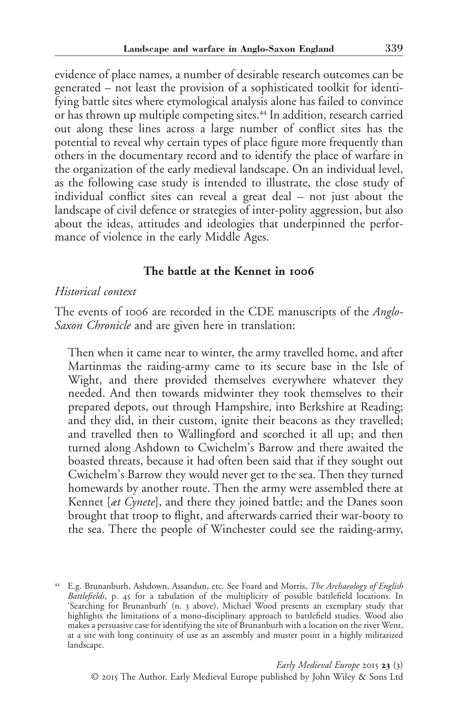evidence of place names, a number of desirable research outcomes can be generated – not least the provision of a sophisticated toolkit for identifying battle sites where etymological analysis alone has failed to convince or has thrown up multiple competing sites.<sup>44</sup> In addition, research carried out along these lines across a large number of conflict sites has the potential to reveal why certain types of place figure more frequently than others in the documentary record and to identify the place of warfare in the organization of the early medieval landscape. On an individual level, as the following case study is intended to illustrate, the close study of individual conflict sites can reveal a great deal – not just about the landscape of civil defence or strategies of inter-polity aggression, but also about the ideas, attitudes and ideologies that underpinned the performance of violence in the early Middle Ages.

## **The battle at the Kennet in 1006**

## *Historical context*

The events of 1006 are recorded in the CDE manuscripts of the *Anglo-Saxon Chronicle* and are given here in translation:

Then when it came near to winter, the army travelled home, and after Martinmas the raiding-army came to its secure base in the Isle of Wight, and there provided themselves everywhere whatever they needed. And then towards midwinter they took themselves to their prepared depots, out through Hampshire, into Berkshire at Reading; and they did, in their custom, ignite their beacons as they travelled; and travelled then to Wallingford and scorched it all up; and then turned along Ashdown to Cwichelm's Barrow and there awaited the boasted threats, because it had often been said that if they sought out Cwichelm's Barrow they would never get to the sea. Then they turned homewards by another route. Then the army were assembled there at Kennet [*æt Cynete*], and there they joined battle; and the Danes soon brought that troop to flight, and afterwards carried their war-booty to the sea. There the people of Winchester could see the raiding-army,

<sup>44</sup> E.g. Brunanburh, Ashdown, Assandun, etc. See Foard and Morris, *The Archaeology of English Battlefields*, p. 45 for a tabulation of the multiplicity of possible battlefield locations. In 'Searching for Brunanburh' (n. 3 above), Michael Wood presents an exemplary study that highlights the limitations of a mono-disciplinary approach to battlefield studies. Wood also makes a persuasive case for identifying the site of Brunanburh with a location on the river Went, at a site with long continuity of use as an assembly and muster point in a highly militarized landscape.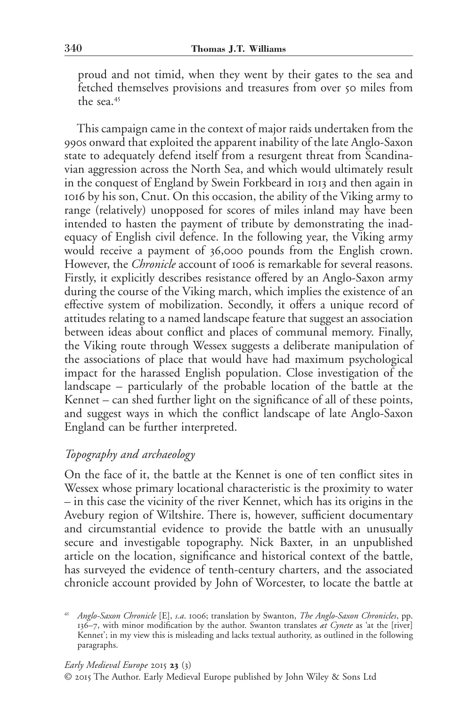proud and not timid, when they went by their gates to the sea and fetched themselves provisions and treasures from over 50 miles from the sea.<sup>45</sup>

This campaign came in the context of major raids undertaken from the 990s onward that exploited the apparent inability of the late Anglo-Saxon state to adequately defend itself from a resurgent threat from Scandinavian aggression across the North Sea, and which would ultimately result in the conquest of England by Swein Forkbeard in 1013 and then again in 1016 by his son, Cnut. On this occasion, the ability of the Viking army to range (relatively) unopposed for scores of miles inland may have been intended to hasten the payment of tribute by demonstrating the inadequacy of English civil defence. In the following year, the Viking army would receive a payment of 36,000 pounds from the English crown. However, the *Chronicle* account of 1006 is remarkable for several reasons. Firstly, it explicitly describes resistance offered by an Anglo-Saxon army during the course of the Viking march, which implies the existence of an effective system of mobilization. Secondly, it offers a unique record of attitudes relating to a named landscape feature that suggest an association between ideas about conflict and places of communal memory. Finally, the Viking route through Wessex suggests a deliberate manipulation of the associations of place that would have had maximum psychological impact for the harassed English population. Close investigation of the landscape – particularly of the probable location of the battle at the Kennet – can shed further light on the significance of all of these points, and suggest ways in which the conflict landscape of late Anglo-Saxon England can be further interpreted.

## *Topography and archaeology*

On the face of it, the battle at the Kennet is one of ten conflict sites in Wessex whose primary locational characteristic is the proximity to water – in this case the vicinity of the river Kennet, which has its origins in the Avebury region of Wiltshire. There is, however, sufficient documentary and circumstantial evidence to provide the battle with an unusually secure and investigable topography. Nick Baxter, in an unpublished article on the location, significance and historical context of the battle, has surveyed the evidence of tenth-century charters, and the associated chronicle account provided by John of Worcester, to locate the battle at

<sup>45</sup> *Anglo-Saxon Chronicle* [E], *s.a*. 1006; translation by Swanton, *The Anglo-Saxon Chronicles*, pp. 136–7, with minor modification by the author. Swanton translates *æt Cynete* as 'at the [river] Kennet'; in my view this is misleading and lacks textual authority, as outlined in the following paragraphs.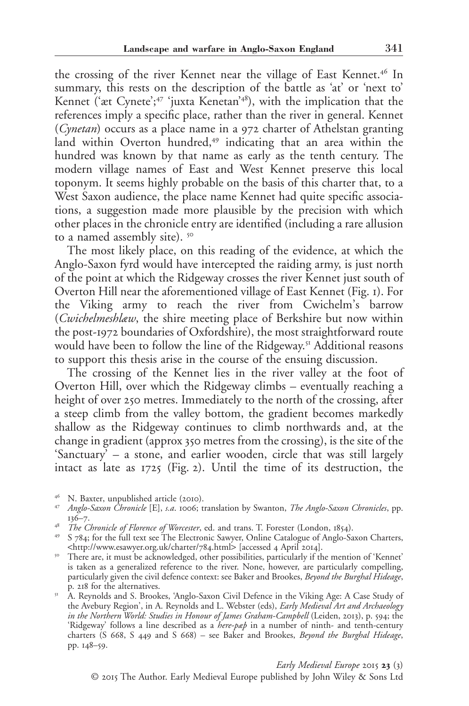the crossing of the river Kennet near the village of East Kennet.<sup>46</sup> In summary, this rests on the description of the battle as 'at' or 'next to' Kennet ('æt Cynete';<sup>47</sup> 'juxta Kenetan'<sup>48</sup>), with the implication that the references imply a specific place, rather than the river in general. Kennet (*Cynetan*) occurs as a place name in a 972 charter of Athelstan granting land within Overton hundred,<sup>49</sup> indicating that an area within the hundred was known by that name as early as the tenth century. The modern village names of East and West Kennet preserve this local toponym. It seems highly probable on the basis of this charter that, to a West Saxon audience, the place name Kennet had quite specific associations, a suggestion made more plausible by the precision with which other places in the chronicle entry are identified (including a rare allusion to a named assembly site). <sup>50</sup>

The most likely place, on this reading of the evidence, at which the Anglo-Saxon fyrd would have intercepted the raiding army, is just north of the point at which the Ridgeway crosses the river Kennet just south of Overton Hill near the aforementioned village of East Kennet (Fig. 1). For the Viking army to reach the river from Cwichelm's barrow (*Cwichelmeshlæw*, the shire meeting place of Berkshire but now within the post-1972 boundaries of Oxfordshire), the most straightforward route would have been to follow the line of the Ridgeway.<sup>51</sup> Additional reasons to support this thesis arise in the course of the ensuing discussion.

The crossing of the Kennet lies in the river valley at the foot of Overton Hill, over which the Ridgeway climbs – eventually reaching a height of over 250 metres. Immediately to the north of the crossing, after a steep climb from the valley bottom, the gradient becomes markedly shallow as the Ridgeway continues to climb northwards and, at the change in gradient (approx 350 metres from the crossing), is the site of the 'Sanctuary' – a stone, and earlier wooden, circle that was still largely intact as late as 1725 (Fig. 2). Until the time of its destruction, the

<sup>46</sup> N. Baxter, unpublished article (2010). <sup>47</sup> *Anglo-Saxon Chronicle* [E], *s.a*. <sup>1006</sup>; translation by Swanton, *The Anglo-Saxon Chronicles*, pp.

<sup>136–7.&</sup>lt;br>
<sup>48</sup> *The Chronicle of Florence of Worcester*, ed. and trans. T. Forester (London, 1854).<br>
5 784; for the full text see The Electronic Sawyer, Online Catalogue of Anglo-Saxon Charters,<br>  $\langle \text{http://www.esawyer.org.uk/charter/784.html}\rangle$  [

<sup>&</sup>lt;sup>50</sup> There are, it must be acknowledged, other possibilities, particularly if the mention of 'Kennet' is taken as a generalized reference to the river. None, however, are particularly compelling, particularly given the civil defence context: see Baker and Brookes, *Beyond the Burghal Hideage*, p. <sup>218</sup> for the alternatives. <sup>51</sup> A. Reynolds and S. Brookes, 'Anglo-Saxon Civil Defence in the Viking Age: A Case Study of

the Avebury Region', in A. Reynolds and L. Webster (eds), *Early Medieval Art and Archaeology in the Northern World: Studies in Honour of James Graham-Campbell* (Leiden, 2013), p. 594; the 'Ridgeway' follows a line described as a *here-pæþ* in a number of ninth- and tenth-century charters (S 668, S 449 and S 668) – see Baker and Brookes, *Beyond the Burghal Hideage*, pp. 148–59.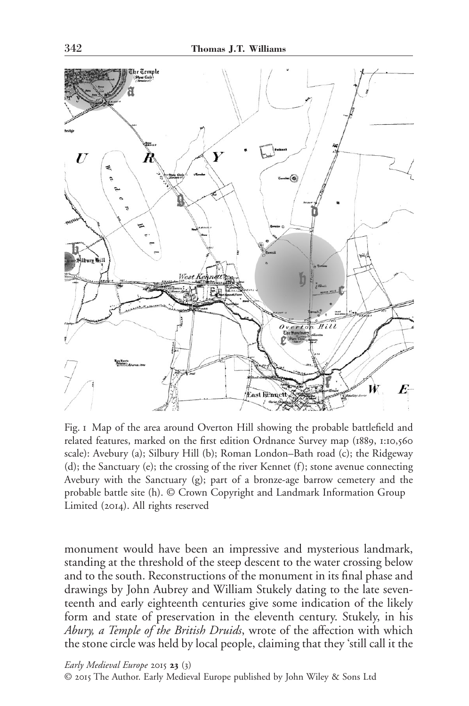

Fig. 1 Map of the area around Overton Hill showing the probable battlefield and related features, marked on the first edition Ordnance Survey map (1889, 1:10,560 scale): Avebury (a); Silbury Hill (b); Roman London–Bath road (c); the Ridgeway (d); the Sanctuary (e); the crossing of the river Kennet (f); stone avenue connecting Avebury with the Sanctuary (g); part of a bronze-age barrow cemetery and the probable battle site (h). © Crown Copyright and Landmark Information Group Limited (2014). All rights reserved

monument would have been an impressive and mysterious landmark, standing at the threshold of the steep descent to the water crossing below and to the south. Reconstructions of the monument in its final phase and drawings by John Aubrey and William Stukely dating to the late seventeenth and early eighteenth centuries give some indication of the likely form and state of preservation in the eleventh century. Stukely, in his *Abury, a Temple of the British Druids*, wrote of the affection with which the stone circle was held by local people, claiming that they 'still call it the

*Early Medieval Europe* 2015 **23** (3)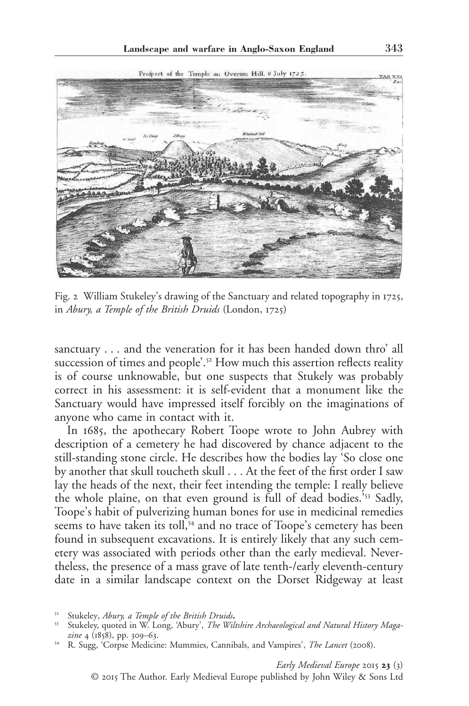

Fig. 2 William Stukeley's drawing of the Sanctuary and related topography in 1725, in *Abury, a Temple of the British Druids* (London, 1725)

sanctuary . . . and the veneration for it has been handed down thro' all succession of times and people'.<sup>52</sup> How much this assertion reflects reality is of course unknowable, but one suspects that Stukely was probably correct in his assessment: it is self-evident that a monument like the Sanctuary would have impressed itself forcibly on the imaginations of anyone who came in contact with it.

In 1685, the apothecary Robert Toope wrote to John Aubrey with description of a cemetery he had discovered by chance adjacent to the still-standing stone circle. He describes how the bodies lay 'So close one by another that skull toucheth skull . . . At the feet of the first order I saw lay the heads of the next, their feet intending the temple: I really believe the whole plaine, on that even ground is full of dead bodies.'<sup>53</sup> Sadly, Toope's habit of pulverizing human bones for use in medicinal remedies seems to have taken its toll,<sup>54</sup> and no trace of Toope's cemetery has been found in subsequent excavations. It is entirely likely that any such cemetery was associated with periods other than the early medieval. Nevertheless, the presence of a mass grave of late tenth-/early eleventh-century date in a similar landscape context on the Dorset Ridgeway at least

*Early Medieval Europe* 2015 **23** (3)

<sup>&</sup>lt;sup>52</sup> Stukeley, *Abury, a Temple of the British Druids***.**<br><sup>53</sup> Stukeley, quoted in W. Long, 'Abury', *The Wiltshire Archaeological and Natural History Maga-*<br>*zine* 4 (1858), pp. 309–63.

<sup>&</sup>lt;sup>54</sup> R. Sugg, 'Corpse Medicine: Mummies, Cannibals, and Vampires', *The Lancet* (2008).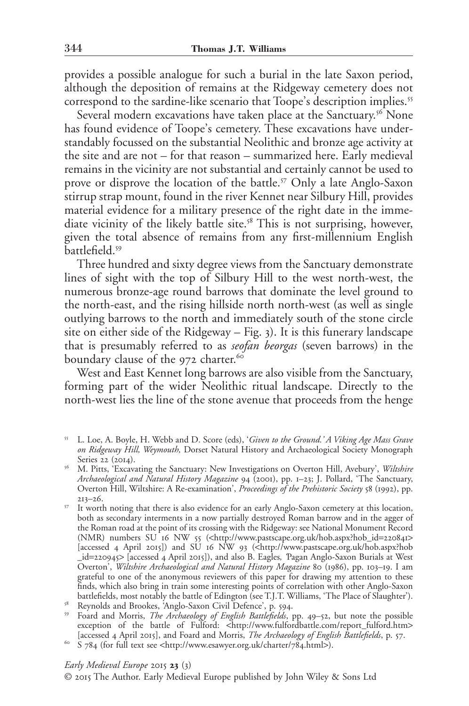provides a possible analogue for such a burial in the late Saxon period, although the deposition of remains at the Ridgeway cemetery does not correspond to the sardine-like scenario that Toope's description implies.<sup>55</sup>

Several modern excavations have taken place at the Sanctuary.<sup>56</sup> None has found evidence of Toope's cemetery. These excavations have understandably focussed on the substantial Neolithic and bronze age activity at the site and are not – for that reason – summarized here. Early medieval remains in the vicinity are not substantial and certainly cannot be used to prove or disprove the location of the battle.<sup>57</sup> Only a late Anglo-Saxon stirrup strap mount, found in the river Kennet near Silbury Hill, provides material evidence for a military presence of the right date in the immediate vicinity of the likely battle site.<sup>58</sup> This is not surprising, however, given the total absence of remains from any first-millennium English battlefield.<sup>59</sup>

Three hundred and sixty degree views from the Sanctuary demonstrate lines of sight with the top of Silbury Hill to the west north-west, the numerous bronze-age round barrows that dominate the level ground to the north-east, and the rising hillside north north-west (as well as single outlying barrows to the north and immediately south of the stone circle site on either side of the Ridgeway – Fig. 3). It is this funerary landscape that is presumably referred to as *seofan beorgas* (seven barrows) in the boundary clause of the 972 charter.<sup>60</sup>

West and East Kennet long barrows are also visible from the Sanctuary, forming part of the wider Neolithic ritual landscape. Directly to the north-west lies the line of the stone avenue that proceeds from the henge

#### *Early Medieval Europe* 2015 **23** (3)

<sup>55</sup> L. Loe, A. Boyle, H. Webb and D. Score (eds), '*Given to the Ground.' A Viking Age Mass Grave on Ridgeway Hill, Weymouth,* Dorset Natural History and Archaeological Society Monograph

<sup>&</sup>lt;sup>56</sup> M. Pitts, 'Excavating the Sanctuary: New Investigations on Overton Hill, Avebury', *Wiltshire Archaeological and Natural History Magazine* 94 (2001), pp. 1–23; J. Pollard, 'The Sanctuary, Overton Hill, Wiltshire: A Re-examination', *Proceedings of the Prehistoric Society* 58 (1992), pp.

<sup>213–26.</sup>  $57$  It worth noting that there is also evidence for an early Anglo-Saxon cemetery at this location, both as secondary interments in a now partially destroyed Roman barrow and in the agger of the Roman road at the point of its crossing with the Ridgeway: see National Monument Record (NMR) numbers SU 16 NW 55 (<[http://www.pastscape.org.uk/hob.aspx?hob\\_id](http://www.pastscape.org.uk/hob.aspx?hob_id=220841)=220841> [accessed 4 April 2015]) and SU 16 NW 93 (<[http://www.pastscape.org.uk/hob.aspx?hob](http://www.pastscape.org.uk/hob.aspx?hob_id=220945) \_id=[220945](http://www.pastscape.org.uk/hob.aspx?hob_id=220945)> [accessed 4 April 2015]), and also B. Eagles*, '*Pagan Anglo-Saxon Burials at West Overton', *Wiltshire Archaeological and Natural History Magazine* 80 (1986), pp. 103–19. I am grateful to one of the anonymous reviewers of this paper for drawing my attention to these finds, which also bring in train some interesting points of correlation with other Anglo-Saxon

<sup>&</sup>lt;sup>58</sup> Reynolds and Brookes, 'Anglo-Saxon Civil Defence', p. 594.<br><sup>59</sup> Foard and Morris, *The Archaeology of English Battlefields*, pp. 49–52, but note the possible exception of the battle of Fulford: <[http://www.fulfordbattle.com/report\\_fulford.htm](http://www.fulfordbattle.com/report_fulford.htm)><br>[accessed 4 April 2015], and Foard and Morris, The Archaeology of English Battlefields, p. 57.

<sup>[</sup>accessed <sup>4</sup> April <sup>2015</sup>], and Foard and Morris, *The Archaeology of English Battlefields*, p. <sup>57</sup>. <sup>60</sup> <sup>S</sup> <sup>784</sup> (for full text see <sup>&</sup>lt;[http://www.esawyer.org.uk/charter/](http://www.esawyer.org.uk/charter/784.html)784.html>).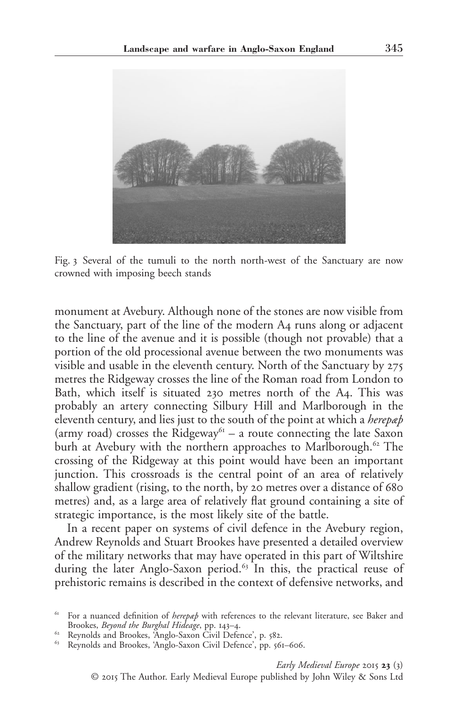

Fig. 3 Several of the tumuli to the north north-west of the Sanctuary are now crowned with imposing beech stands

monument at Avebury. Although none of the stones are now visible from the Sanctuary, part of the line of the modern A4 runs along or adjacent to the line of the avenue and it is possible (though not provable) that a portion of the old processional avenue between the two monuments was visible and usable in the eleventh century. North of the Sanctuary by 275 metres the Ridgeway crosses the line of the Roman road from London to Bath, which itself is situated 230 metres north of the A4. This was probably an artery connecting Silbury Hill and Marlborough in the eleventh century, and lies just to the south of the point at which a *herepæþ* (army road) crosses the Ridgeway<sup>61</sup> – a route connecting the late Saxon burh at Avebury with the northern approaches to Marlborough.<sup>62</sup> The crossing of the Ridgeway at this point would have been an important junction. This crossroads is the central point of an area of relatively shallow gradient (rising, to the north, by 20 metres over a distance of 680 metres) and, as a large area of relatively flat ground containing a site of strategic importance, is the most likely site of the battle.

In a recent paper on systems of civil defence in the Avebury region, Andrew Reynolds and Stuart Brookes have presented a detailed overview of the military networks that may have operated in this part of Wiltshire during the later Anglo-Saxon period.<sup>63</sup> In this, the practical reuse of prehistoric remains is described in the context of defensive networks, and

<sup>61</sup> For a nuanced definition of *herepæþ* with references to the relevant literature, see Baker and Brookes, *Beyond the Burghal Hideage*, pp. 143–4.<br><sup>62</sup> Reynolds and Brookes, 'Anglo-Saxon Civil Defence', p. 582.<br><sup>63</sup> Reynolds and Brookes, 'Anglo-Saxon Civil Defence', pp. 561–606.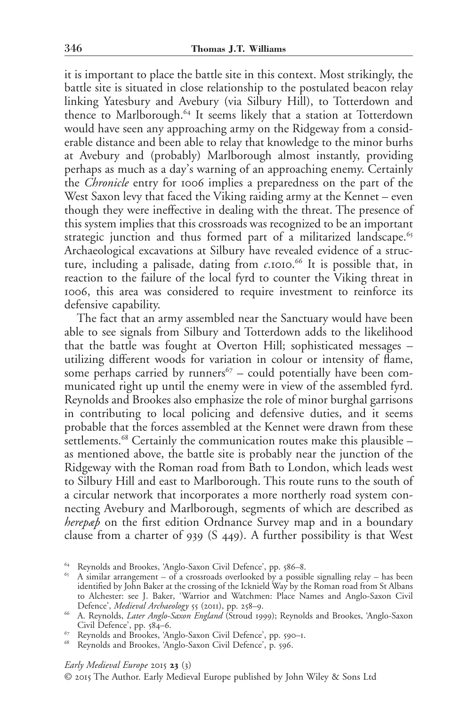it is important to place the battle site in this context. Most strikingly, the battle site is situated in close relationship to the postulated beacon relay linking Yatesbury and Avebury (via Silbury Hill), to Totterdown and thence to Marlborough.<sup>64</sup> It seems likely that a station at Totterdown would have seen any approaching army on the Ridgeway from a considerable distance and been able to relay that knowledge to the minor burhs at Avebury and (probably) Marlborough almost instantly, providing perhaps as much as a day's warning of an approaching enemy. Certainly the *Chronicle* entry for 1006 implies a preparedness on the part of the West Saxon levy that faced the Viking raiding army at the Kennet – even though they were ineffective in dealing with the threat. The presence of this system implies that this crossroads was recognized to be an important strategic junction and thus formed part of a militarized landscape.<sup>65</sup> Archaeological excavations at Silbury have revealed evidence of a structure, including a palisade, dating from *c*.1010. <sup>66</sup> It is possible that, in reaction to the failure of the local fyrd to counter the Viking threat in 1006, this area was considered to require investment to reinforce its defensive capability.

The fact that an army assembled near the Sanctuary would have been able to see signals from Silbury and Totterdown adds to the likelihood that the battle was fought at Overton Hill; sophisticated messages – utilizing different woods for variation in colour or intensity of flame, some perhaps carried by runners<sup>67</sup> – could potentially have been communicated right up until the enemy were in view of the assembled fyrd. Reynolds and Brookes also emphasize the role of minor burghal garrisons in contributing to local policing and defensive duties, and it seems probable that the forces assembled at the Kennet were drawn from these settlements.<sup>68</sup> Certainly the communication routes make this plausible – as mentioned above, the battle site is probably near the junction of the Ridgeway with the Roman road from Bath to London, which leads west to Silbury Hill and east to Marlborough. This route runs to the south of a circular network that incorporates a more northerly road system connecting Avebury and Marlborough, segments of which are described as *herepæþ* on the first edition Ordnance Survey map and in a boundary clause from a charter of 939 (S 449). A further possibility is that West

#### *Early Medieval Europe* 2015 **23** (3)

<sup>&</sup>lt;sup>64</sup> Reynolds and Brookes, 'Anglo-Saxon Civil Defence', pp. 586–8.<br><sup>65</sup> A similar arrangement – of a crossroads overlooked by a possible signalling relay – has been identified by John Baker at the crossing of the Icknield Way by the Roman road from St Albans to Alchester: see J. Baker, 'Warrior and Watchmen: Place Names and Anglo-Saxon Civil<br>Defence', Medieval Archaeology 55 (2011), pp. 258–9.

<sup>2012 12 (2012),</sup> pp. 25 (2012), pp. 35 (2011), pp. 55 (2011), pp. 554–6.<br>Civil Defence', pp. 584–6.

<sup>&</sup>lt;sup>67</sup> Reynolds and Brookes, 'Anglo-Saxon Civil Defence', pp. 590–1.<br><sup>68</sup> Reynolds and Brookes, 'Anglo-Saxon Civil Defence', p. 596.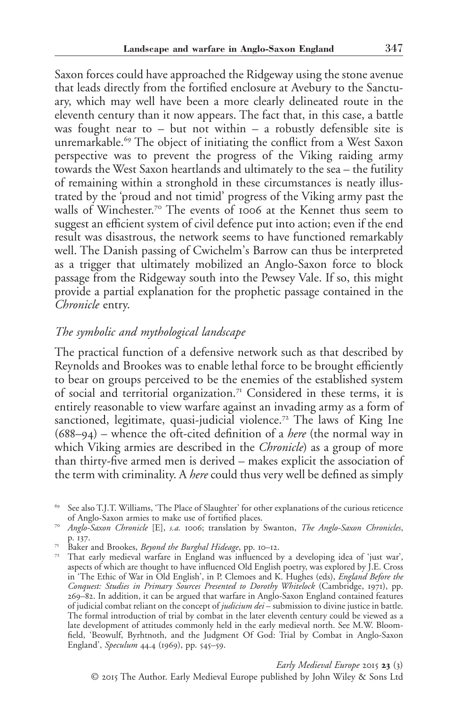Saxon forces could have approached the Ridgeway using the stone avenue that leads directly from the fortified enclosure at Avebury to the Sanctuary, which may well have been a more clearly delineated route in the eleventh century than it now appears. The fact that, in this case, a battle was fought near to  $-$  but not within  $-$  a robustly defensible site is unremarkable.<sup>69</sup> The object of initiating the conflict from a West Saxon perspective was to prevent the progress of the Viking raiding army towards the West Saxon heartlands and ultimately to the sea – the futility of remaining within a stronghold in these circumstances is neatly illustrated by the 'proud and not timid' progress of the Viking army past the walls of Winchester.<sup>70</sup> The events of 1006 at the Kennet thus seem to suggest an efficient system of civil defence put into action; even if the end result was disastrous, the network seems to have functioned remarkably well. The Danish passing of Cwichelm's Barrow can thus be interpreted as a trigger that ultimately mobilized an Anglo-Saxon force to block passage from the Ridgeway south into the Pewsey Vale. If so, this might provide a partial explanation for the prophetic passage contained in the *Chronicle* entry.

## *The symbolic and mythological landscape*

The practical function of a defensive network such as that described by Reynolds and Brookes was to enable lethal force to be brought efficiently to bear on groups perceived to be the enemies of the established system of social and territorial organization.<sup>71</sup> Considered in these terms, it is entirely reasonable to view warfare against an invading army as a form of sanctioned, legitimate, quasi-judicial violence.<sup>72</sup> The laws of King Ine (688–94) – whence the oft-cited definition of a *here* (the normal way in which Viking armies are described in the *Chronicle*) as a group of more than thirty-five armed men is derived – makes explicit the association of the term with criminality. A *here* could thus very well be defined as simply

*Early Medieval Europe* 2015 **23** (3)

<sup>69</sup> See also T.J.T. Williams, 'The Place of Slaughter' for other explanations of the curious reticence

<sup>&</sup>lt;sup>70</sup> Anglo-Saxon Chronicle [E], *s.a.* 1006; translation by Swanton, *The Anglo-Saxon Chronicles*,

p. 137.<br><sup>71</sup> Baker and Brookes, *Beyond the Burghal Hideage*, pp. 10–12.<br><sup>72</sup> That early medieval warfare in England was influenced by a developing idea of 'just war', aspects of which are thought to have influenced Old English poetry, was explored by J.E. Cross in 'The Ethic of War in Old English', in P. Clemoes and K. Hughes (eds), *England Before the Conquest: Studies in Primary Sources Presented to Dorothy Whitelock* (Cambridge, 1971), pp. 269–82. In addition, it can be argued that warfare in Anglo-Saxon England contained features of judicial combat reliant on the concept of *judicium dei* – submission to divine justice in battle. The formal introduction of trial by combat in the later eleventh century could be viewed as a late development of attitudes commonly held in the early medieval north. See M.W. Bloomfield, 'Beowulf, Byrhtnoth, and the Judgment Of God: Trial by Combat in Anglo-Saxon England', *Speculum* 44.4 (1969), pp. 545–59.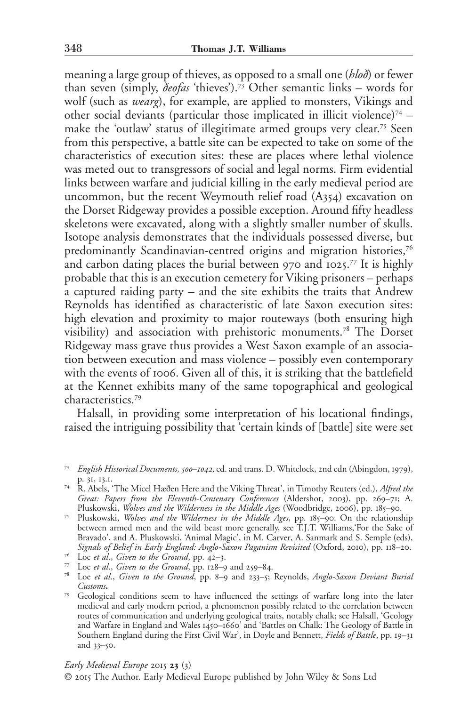meaning a large group of thieves, as opposed to a small one (*hloð*) or fewer than seven (simply, *ðeofas* 'thieves').<sup>73</sup> Other semantic links – words for wolf (such as *wearg*), for example, are applied to monsters, Vikings and other social deviants (particular those implicated in illicit violence)<sup>74</sup> – make the 'outlaw' status of illegitimate armed groups very clear.<sup>75</sup> Seen from this perspective, a battle site can be expected to take on some of the characteristics of execution sites: these are places where lethal violence was meted out to transgressors of social and legal norms. Firm evidential links between warfare and judicial killing in the early medieval period are uncommon, but the recent Weymouth relief road (A354) excavation on the Dorset Ridgeway provides a possible exception. Around fifty headless skeletons were excavated, along with a slightly smaller number of skulls. Isotope analysis demonstrates that the individuals possessed diverse, but predominantly Scandinavian-centred origins and migration histories,<sup>76</sup> and carbon dating places the burial between 970 and 1025. <sup>77</sup> It is highly probable that this is an execution cemetery for Viking prisoners – perhaps a captured raiding party – and the site exhibits the traits that Andrew Reynolds has identified as characteristic of late Saxon execution sites: high elevation and proximity to major routeways (both ensuring high visibility) and association with prehistoric monuments.<sup>78</sup> The Dorset Ridgeway mass grave thus provides a West Saxon example of an association between execution and mass violence – possibly even contemporary with the events of 1006. Given all of this, it is striking that the battlefield at the Kennet exhibits many of the same topographical and geological characteristics.<sup>79</sup>

Halsall, in providing some interpretation of his locational findings, raised the intriguing possibility that 'certain kinds of [battle] site were set

- <sup>73</sup> *English Historical Documents, 500–1042*, ed. and trans. D. Whitelock, 2nd edn (Abingdon, 1979),
- p. <sup>31</sup>, <sup>13</sup>.1. <sup>74</sup> R. Abels, 'The Micel Hæðen Here and the Viking Threat', in Timothy Reuters (ed.), *Alfred the Great: Papers from the Eleventh-Centenary Conferences* (Aldershot, 2003), pp. 269–71; A.
- <sup>75</sup> Pluskowski, *Wolves and the Wilderness in the Middle Ages*, pp. 185–90. On the relationship between armed men and the wild beast more generally, see T.J.T. Williams, For the Sake of Bravado', and A. Pluskowski, 'Animal Magic', in M. Carver, A. Sanmark and S. Semple (eds), Signals of Belief in Early England: Anglo-Saxon Paganism Revisited (Oxford, 2010), pp. 118-20.
- 
- 
- <sup>76</sup> Loe *et al.*, *Given to the Ground*, pp. 42–3.<br><sup>77</sup> Loe *et al.*, *Given to the Ground*, pp. 128–9 and 259–84.<br><sup>78</sup> Loe *et al.*, *Given to the Ground*, pp. 8–9 and 233–5; Reynolds, *Anglo-Saxon Deviant Burial*<br>*Cust*
- <sup>79</sup> Geological conditions seem to have influenced the settings of warfare long into the later medieval and early modern period, a phenomenon possibly related to the correlation between routes of communication and underlying geological traits, notably chalk; see Halsall, 'Geology and Warfare in England and Wales 1450–1660' and 'Battles on Chalk: The Geology of Battle in Southern England during the First Civil War', in Doyle and Bennett, *Fields of Battle*, pp. 19–31 and 33–50.

#### *Early Medieval Europe* 2015 **23** (3) © 2015 The Author. Early Medieval Europe published by John Wiley & Sons Ltd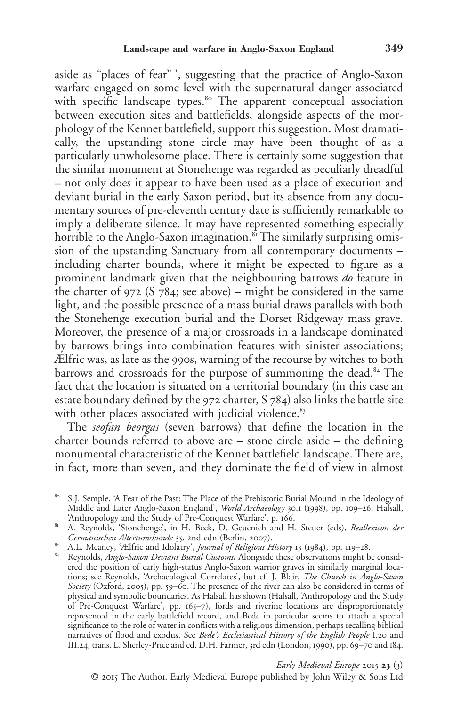aside as "places of fear" ', suggesting that the practice of Anglo-Saxon warfare engaged on some level with the supernatural danger associated with specific landscape types.<sup>80</sup> The apparent conceptual association between execution sites and battlefields, alongside aspects of the morphology of the Kennet battlefield, support this suggestion. Most dramatically, the upstanding stone circle may have been thought of as a particularly unwholesome place. There is certainly some suggestion that the similar monument at Stonehenge was regarded as peculiarly dreadful – not only does it appear to have been used as a place of execution and deviant burial in the early Saxon period, but its absence from any documentary sources of pre-eleventh century date is sufficiently remarkable to imply a deliberate silence. It may have represented something especially horrible to the Anglo-Saxon imagination.<sup>81</sup> The similarly surprising omission of the upstanding Sanctuary from all contemporary documents – including charter bounds, where it might be expected to figure as a prominent landmark given that the neighbouring barrows *do* feature in the charter of 972 (S  $\bar{7}84$ ; see above) – might be considered in the same light, and the possible presence of a mass burial draws parallels with both the Stonehenge execution burial and the Dorset Ridgeway mass grave. Moreover, the presence of a major crossroads in a landscape dominated by barrows brings into combination features with sinister associations; Ælfric was, as late as the 990s, warning of the recourse by witches to both barrows and crossroads for the purpose of summoning the dead.<sup>82</sup> The fact that the location is situated on a territorial boundary (in this case an estate boundary defined by the 972 charter, S 784) also links the battle site with other places associated with judicial violence.<sup>83</sup>

The *seofan beorgas* (seven barrows) that define the location in the charter bounds referred to above are – stone circle aside – the defining monumental characteristic of the Kennet battlefield landscape. There are, in fact, more than seven, and they dominate the field of view in almost

<sup>80</sup> S.J. Semple, 'A Fear of the Past: The Place of the Prehistoric Burial Mound in the Ideology of Middle and Later Anglo-Saxon England', *World Archaeology* 30.1 (1998), pp. 109–26; Halsall,

<sup>&</sup>lt;sup>81</sup> A. Reynolds, 'Stonehenge', in H. Beck, D. Geuenich and H. Steuer (eds), *Reallexicon der* Germanischen Altertumskunde 35, 2nd edn (Berlin, 2007).

<sup>&</sup>lt;sup>82</sup> A.L. Meaney, 'Ælfric and Idolatry', *Journal of Religious History* 13 (1984), pp. 119–28.<br><sup>83</sup> Reynolds, *Anglo-Saxon Deviant Burial Customs*. Alongside these observations might be consid-

ered the position of early high-status Anglo-Saxon warrior graves in similarly marginal locations; see Reynolds, 'Archaeological Correlates', but cf. J. Blair, *The Church in Anglo-Saxon Society* (Oxford, 2005), pp. 59–60. The presence of the river can also be considered in terms of physical and symbolic boundaries. As Halsall has shown (Halsall, 'Anthropology and the Study of Pre-Conquest Warfare', pp. 165–7), fords and riverine locations are disproportionately represented in the early battlefield record, and Bede in particular seems to attach a special significance to the role of water in conflicts with a religious dimension, perhaps recalling biblical narratives of flood and exodus. See *Bede's Ecclesiastical History of the English People* I.20 and III.24, trans. L. Sherley-Price and ed. D.H. Farmer, 3rd edn (London, 1990), pp. 69–70 and 184.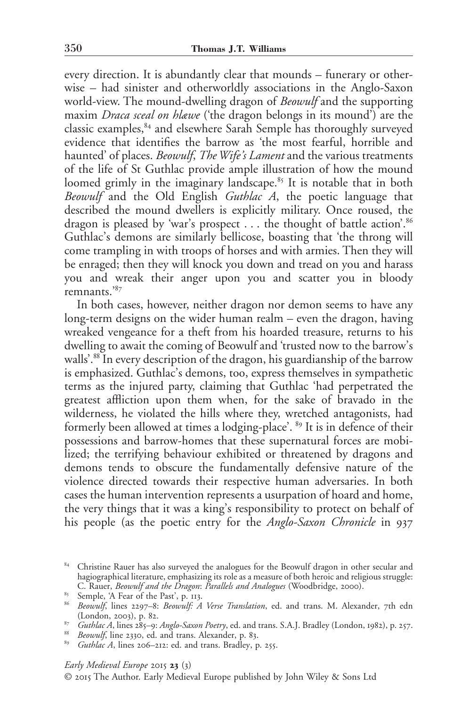every direction. It is abundantly clear that mounds – funerary or otherwise – had sinister and otherworldly associations in the Anglo-Saxon world-view. The mound-dwelling dragon of *Beowulf* and the supporting maxim *Draca sceal on hlæwe* ('the dragon belongs in its mound') are the classic examples,<sup>84</sup> and elsewhere Sarah Semple has thoroughly surveyed evidence that identifies the barrow as 'the most fearful, horrible and haunted' of places. *Beowulf*, *The Wife's Lament* and the various treatments of the life of St Guthlac provide ample illustration of how the mound loomed grimly in the imaginary landscape.<sup>85</sup> It is notable that in both *Beowulf* and the Old English *Guthlac A*, the poetic language that described the mound dwellers is explicitly military. Once roused, the dragon is pleased by 'war's prospect . . . the thought of battle action'.<sup>86</sup> Guthlac's demons are similarly bellicose, boasting that 'the throng will come trampling in with troops of horses and with armies. Then they will be enraged; then they will knock you down and tread on you and harass you and wreak their anger upon you and scatter you in bloody remnants.'<sup>87</sup>

In both cases, however, neither dragon nor demon seems to have any long-term designs on the wider human realm – even the dragon, having wreaked vengeance for a theft from his hoarded treasure, returns to his dwelling to await the coming of Beowulf and 'trusted now to the barrow's walls'.<sup>88</sup> In every description of the dragon, his guardianship of the barrow is emphasized. Guthlac's demons, too, express themselves in sympathetic terms as the injured party, claiming that Guthlac 'had perpetrated the greatest affliction upon them when, for the sake of bravado in the wilderness, he violated the hills where they, wretched antagonists, had formerly been allowed at times a lodging-place'. <sup>89</sup> It is in defence of their possessions and barrow-homes that these supernatural forces are mobilized; the terrifying behaviour exhibited or threatened by dragons and demons tends to obscure the fundamentally defensive nature of the violence directed towards their respective human adversaries. In both cases the human intervention represents a usurpation of hoard and home, the very things that it was a king's responsibility to protect on behalf of his people (as the poetic entry for the *Anglo-Saxon Chronicle* in 937

#### *Early Medieval Europe* 2015 **23** (3)

<sup>&</sup>lt;sup>84</sup> Christine Rauer has also surveyed the analogues for the Beowulf dragon in other secular and hagiographical literature, emphasizing its role as a measure of both heroic and religious struggle: C. Rauer, Beowulf and the Dragon: Parallels and Analogues (Woodbridge, 2000).

Semple, 'A Fear of the Past', p. 113.<br>
<sup>85</sup> *Beowulf*; lines 2297–8: *Beowulf: A Verse Translation*, ed. and trans. M. Alexander, 7th edn (London, 2003), p. 82.

<sup>&</sup>lt;sup>87</sup> *Gutblac A*, lines 285–9: *Anglo-Saxon Poetry*, ed. and trans. S.A.J. Bradley (London, 1982), p. 257.<br><sup>88</sup> *Beowulf*, line 2330, ed. and trans. Alexander, p. 83.<br><sup>89</sup> *Gutblac A*, lines 206–212: ed. and trans. Bradley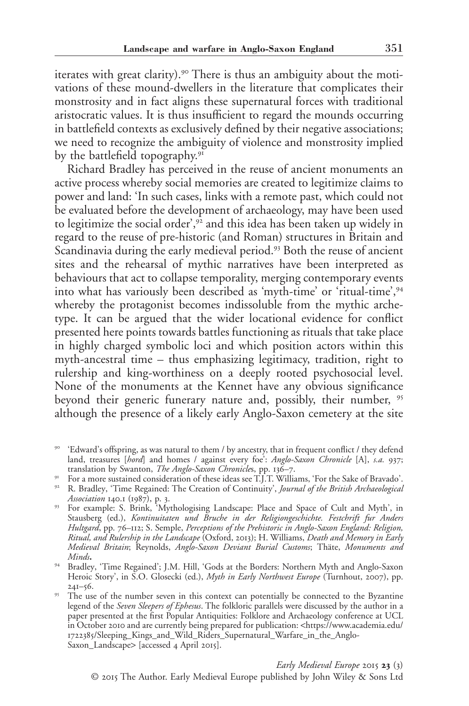iterates with great clarity).<sup>90</sup> There is thus an ambiguity about the motivations of these mound-dwellers in the literature that complicates their monstrosity and in fact aligns these supernatural forces with traditional aristocratic values. It is thus insufficient to regard the mounds occurring in battlefield contexts as exclusively defined by their negative associations; we need to recognize the ambiguity of violence and monstrosity implied by the battlefield topography.<sup>91</sup>

Richard Bradley has perceived in the reuse of ancient monuments an active process whereby social memories are created to legitimize claims to power and land: 'In such cases, links with a remote past, which could not be evaluated before the development of archaeology, may have been used to legitimize the social order',<sup>92</sup> and this idea has been taken up widely in regard to the reuse of pre-historic (and Roman) structures in Britain and Scandinavia during the early medieval period.<sup>93</sup> Both the reuse of ancient sites and the rehearsal of mythic narratives have been interpreted as behaviours that act to collapse temporality, merging contemporary events into what has variously been described as 'myth-time' or 'ritual-time', 94 whereby the protagonist becomes indissoluble from the mythic archetype. It can be argued that the wider locational evidence for conflict presented here points towards battles functioning as rituals that take place in highly charged symbolic loci and which position actors within this myth-ancestral time – thus emphasizing legitimacy, tradition, right to rulership and king-worthiness on a deeply rooted psychosocial level. None of the monuments at the Kennet have any obvious significance beyond their generic funerary nature and, possibly, their number, <sup>95</sup> although the presence of a likely early Anglo-Saxon cemetery at the site

- <sup>90</sup> 'Edward's offspring, as was natural to them / by ancestry, that in frequent conflict / they defend land, treasures [*hord*] and homes / against every foe': *Anglo-Saxon Chronicle* [A], *s.a.* 937;
- 
- <sup>91</sup> For a more sustained consideration of these ideas see T.J.T. Williams, 'For the Sake of Bravado'.<br><sup>92</sup> R. Bradley, 'Time Regained: The Creation of Continuity', *Journal of the British Archaeological*<br>*Association* 140
- <sup>93</sup> For example: S. Brink, 'Mythologising Landscape: Place and Space of Cult and Myth', in Stausberg (ed.), *Kontinuitaten und Bruche in der Religiongeschichte. Festchrift fur Anders Hultgard*, pp. 76–112; S. Semple, *Perceptions of the Prehistoric in Anglo-Saxon England: Religion, Ritual, and Rulership in the Landscape* (Oxford, 2013); H. Williams, *Death and Memory in Early Medieval Britain*; Reynolds, *Anglo-Saxon Deviant Burial Customs*; Thäte, *Monuments and*
- *Minds***.** <sup>94</sup> Bradley, 'Time Regained'; J.M. Hill, 'Gods at the Borders: Northern Myth and Anglo-Saxon Heroic Story', in S.O. Glosecki (ed.), *Myth in Early Northwest Europe* (Turnhout, 2007), pp. 241–56.
- <sup>95</sup> The use of the number seven in this context can potentially be connected to the Byzantine legend of the *Seven Sleepers of Ephesus*. The folkloric parallels were discussed by the author in a paper presented at the first Popular Antiquities: Folklore and Archaeology conference at UCL in October 2010 and are currently being prepared for publication: <[https://www.academia.edu/](https://www.academia.edu/1722385/Sleeping_Kings_and_Wild_Riders_Supernatural_Warfare_in_the_Anglo-Saxon_Landscape) 1722385[/Sleeping\\_Kings\\_and\\_Wild\\_Riders\\_Supernatural\\_Warfare\\_in\\_the\\_Anglo-](https://www.academia.edu/1722385/Sleeping_Kings_and_Wild_Riders_Supernatural_Warfare_in_the_Anglo-Saxon_Landscape)[Saxon\\_Landscape](https://www.academia.edu/1722385/Sleeping_Kings_and_Wild_Riders_Supernatural_Warfare_in_the_Anglo-Saxon_Landscape)> [accessed 4 April 2015].

*Early Medieval Europe* 2015 **23** (3)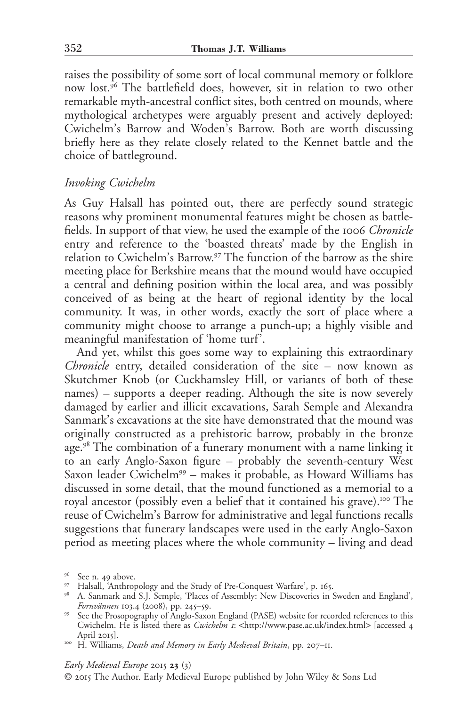raises the possibility of some sort of local communal memory or folklore now lost.<sup>96</sup> The battlefield does, however, sit in relation to two other remarkable myth-ancestral conflict sites, both centred on mounds, where mythological archetypes were arguably present and actively deployed: Cwichelm's Barrow and Woden's Barrow. Both are worth discussing briefly here as they relate closely related to the Kennet battle and the choice of battleground.

## *Invoking Cwichelm*

As Guy Halsall has pointed out, there are perfectly sound strategic reasons why prominent monumental features might be chosen as battlefields. In support of that view, he used the example of the 1006 *Chronicle* entry and reference to the 'boasted threats' made by the English in relation to Cwichelm's Barrow.<sup>97</sup> The function of the barrow as the shire meeting place for Berkshire means that the mound would have occupied a central and defining position within the local area, and was possibly conceived of as being at the heart of regional identity by the local community. It was, in other words, exactly the sort of place where a community might choose to arrange a punch-up; a highly visible and meaningful manifestation of 'home turf'.

And yet, whilst this goes some way to explaining this extraordinary *Chronicle* entry, detailed consideration of the site – now known as Skutchmer Knob (or Cuckhamsley Hill, or variants of both of these names) – supports a deeper reading. Although the site is now severely damaged by earlier and illicit excavations, Sarah Semple and Alexandra Sanmark's excavations at the site have demonstrated that the mound was originally constructed as a prehistoric barrow, probably in the bronze age.<sup>98</sup> The combination of a funerary monument with a name linking it to an early Anglo-Saxon figure – probably the seventh-century West Saxon leader Cwichelm<sup>99</sup> – makes it probable, as Howard Williams has discussed in some detail, that the mound functioned as a memorial to a royal ancestor (possibly even a belief that it contained his grave).<sup>100</sup> The reuse of Cwichelm's Barrow for administrative and legal functions recalls suggestions that funerary landscapes were used in the early Anglo-Saxon period as meeting places where the whole community – living and dead

#### *Early Medieval Europe* 2015 **23** (3)

<sup>&</sup>lt;sup>96</sup> See n. 49 above.<br><sup>97</sup> Halsall, 'Anthropology and the Study of Pre-Conquest Warfare', p. 165.<br><sup>98</sup> A. Sanmark and S.J. Semple, 'Places of Assembly: New Discoveries in Sweden and England', *Fornvännen* 103.4 (2008), pp. 245–59.<br><sup>99</sup> See the Prosopography of Anglo-Saxon England (PASE) website for recorded references to this

Cwichelm. He is listed there as *Cwichelm 1*: <<http://www.pase.ac.uk/index.html>> [accessed 4 April <sup>2015</sup>]. <sup>100</sup> H. Williams, *Death and Memory in Early Medieval Britain*, pp. <sup>207</sup>–11.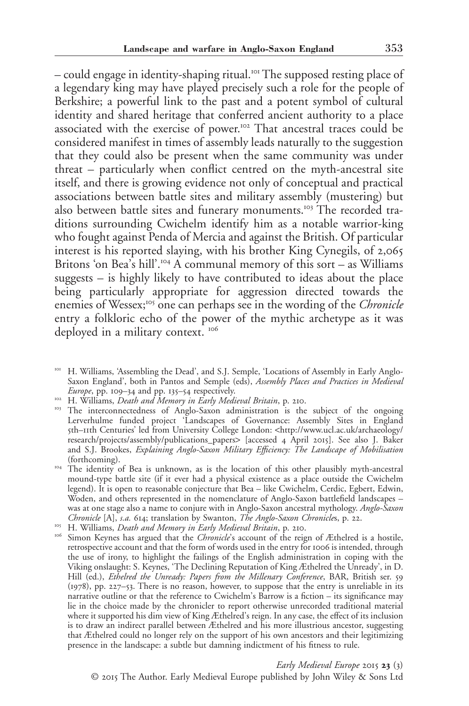$-$  could engage in identity-shaping ritual.<sup>101</sup> The supposed resting place of a legendary king may have played precisely such a role for the people of Berkshire; a powerful link to the past and a potent symbol of cultural identity and shared heritage that conferred ancient authority to a place associated with the exercise of power.<sup>102</sup> That ancestral traces could be considered manifest in times of assembly leads naturally to the suggestion that they could also be present when the same community was under threat – particularly when conflict centred on the myth-ancestral site itself, and there is growing evidence not only of conceptual and practical associations between battle sites and military assembly (mustering) but also between battle sites and funerary monuments.<sup>103</sup> The recorded traditions surrounding Cwichelm identify him as a notable warrior-king who fought against Penda of Mercia and against the British. Of particular interest is his reported slaying, with his brother King Cynegils, of 2,065 Britons 'on Bea's hill'.<sup>104</sup> A communal memory of this sort – as Williams suggests – is highly likely to have contributed to ideas about the place being particularly appropriate for aggression directed towards the enemies of Wessex;<sup>105</sup> one can perhaps see in the wording of the *Chronicle* entry a folkloric echo of the power of the mythic archetype as it was deployed in a military context.<sup>106</sup>

- <sup>101</sup> H. Williams, 'Assembling the Dead', and S.J. Semple, 'Locations of Assembly in Early Anglo-Saxon England', both in Pantos and Semple (eds), *Assembly Places and Practices in Medieval*
- 
- <sup>102</sup> H. Williams, *Death and Memory in Early Medieval Britain*, p. 210.<br><sup>103</sup> The interconnectedness of Anglo-Saxon administration is the subject of the ongoing Lerverhulme funded project 'Landscapes of Governance: Assembly Sites in England 5th–11th Centuries' led from University College London: <[http://www.ucl.ac.uk/archaeology/](http://www.ucl.ac.uk/archaeology/research/projects/assembly/publications_papers) [research/projects/assembly/publications\\_papers](http://www.ucl.ac.uk/archaeology/research/projects/assembly/publications_papers)> [accessed 4 April 2015]. See also J. Baker and S.J. Brookes, *Explaining Anglo-Saxon Military Efficiency: The Landscape of Mobilisation*
- <sup>104</sup> The identity of Bea is unknown, as is the location of this other plausibly myth-ancestral mound-type battle site (if it ever had a physical existence as a place outside the Cwichelm legend). It is open to reasonable conjecture that Bea – like Cwichelm, Cerdic, Egbert, Edwin, Woden, and others represented in the nomenclature of Anglo-Saxon battlefield landscapes – was at one stage also a name to conjure with in Anglo-Saxon ancestral mythology. *Anglo-Saxon*
- 
- <sup>105</sup> H. Williams, *Death and Memory in Early Medieval Britain*, p. 210.<br><sup>106</sup> Simon Keynes has argued that the *Chronicle's* account of the reign of Æthelred is a hostile, retrospective account and that the form of words used in the entry for 1006 is intended, through the use of irony, to highlight the failings of the English administration in coping with the Viking onslaught: S. Keynes, 'The Declining Reputation of King Æthelred the Unready', in D. Hill (ed.), *Ethelred the Unready: Papers from the Millenary Conference*, BAR, British ser. 59 (1978), pp. 227–53. There is no reason, however, to suppose that the entry is unreliable in its narrative outline or that the reference to Cwichelm's Barrow is a fiction – its significance may lie in the choice made by the chronicler to report otherwise unrecorded traditional material where it supported his dim view of King Æthelred's reign. In any case, the effect of its inclusion is to draw an indirect parallel between Æthelred and his more illustrious ancestor, suggesting that Æthelred could no longer rely on the support of his own ancestors and their legitimizing presence in the landscape: a subtle but damning indictment of his fitness to rule.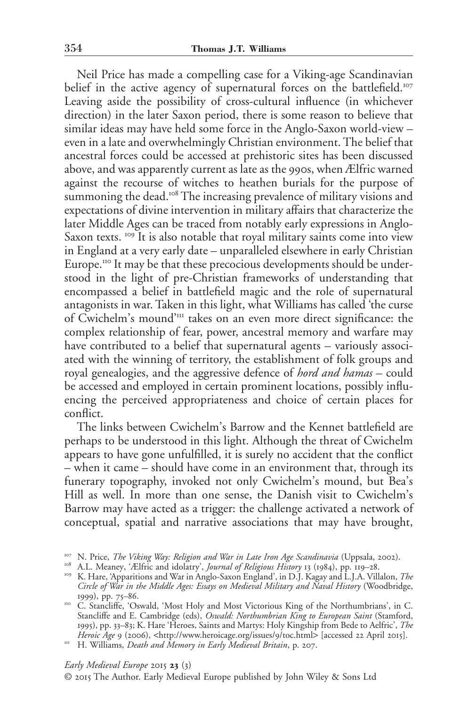Neil Price has made a compelling case for a Viking-age Scandinavian belief in the active agency of supernatural forces on the battlefield.<sup>107</sup> Leaving aside the possibility of cross-cultural influence (in whichever direction) in the later Saxon period, there is some reason to believe that similar ideas may have held some force in the Anglo-Saxon world-view – even in a late and overwhelmingly Christian environment. The belief that ancestral forces could be accessed at prehistoric sites has been discussed above, and was apparently current as late as the 990s, when Ælfric warned against the recourse of witches to heathen burials for the purpose of summoning the dead.<sup>108</sup> The increasing prevalence of military visions and expectations of divine intervention in military affairs that characterize the later Middle Ages can be traced from notably early expressions in Anglo-Saxon texts.<sup>109</sup> It is also notable that royal military saints come into view in England at a very early date – unparalleled elsewhere in early Christian Europe.<sup>110</sup> It may be that these precocious developments should be understood in the light of pre-Christian frameworks of understanding that encompassed a belief in battlefield magic and the role of supernatural antagonists in war. Taken in this light, what Williams has called 'the curse of Cwichelm's mound'<sup>111</sup> takes on an even more direct significance: the complex relationship of fear, power, ancestral memory and warfare may have contributed to a belief that supernatural agents – variously associated with the winning of territory, the establishment of folk groups and royal genealogies, and the aggressive defence of *hord and hamas* – could be accessed and employed in certain prominent locations, possibly influencing the perceived appropriateness and choice of certain places for conflict.

The links between Cwichelm's Barrow and the Kennet battlefield are perhaps to be understood in this light. Although the threat of Cwichelm appears to have gone unfulfilled, it is surely no accident that the conflict – when it came – should have come in an environment that, through its funerary topography, invoked not only Cwichelm's mound, but Bea's Hill as well. In more than one sense, the Danish visit to Cwichelm's Barrow may have acted as a trigger: the challenge activated a network of conceptual, spatial and narrative associations that may have brought,

#### *Early Medieval Europe* 2015 **23** (3)

<sup>&</sup>lt;sup>107</sup> N. Price, *The Viking Way: Religion and War in Late Iron Age Scandinavia* (Uppsala, 2002).<br><sup>108</sup> A.L. Meaney, 'Ælfric and idolatry', *Journal of Religious History* 13 (1984), pp. 119–28.<br><sup>109</sup> K. Hare, 'Apparitions a *Circle of War in the Middle Ages: Essays on Medieval Military and Naval History* (Woodbridge,

<sup>1999),</sup> pp. 75–96. 110 C. Stancliffe, 'Oswald, 'Most Holy and Most Victorious King of the Northumbrians', in C. Stancliffe and E. Cambridge (eds), *Oswald: Northumbrian King to European Saint* (Stamford, 1995), pp. 33–83; K. Hare 'Heroes, Saints and Martys: Holy Kingship from Bede to Aelfric', *The Heroic Age* 9 (2006), <[http://www.heroicage.org/issues/](http://www.heroicage.org/issues/9/toc.html)9/toc.html> [accessed 22 April 2015].<br><sup>111</sup> H. Williams, *Death and Memory in Early Medieval Britain*, p. 207.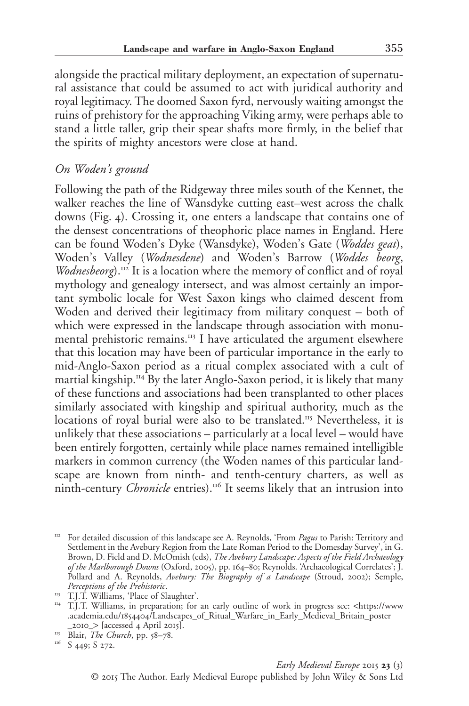alongside the practical military deployment, an expectation of supernatural assistance that could be assumed to act with juridical authority and royal legitimacy. The doomed Saxon fyrd, nervously waiting amongst the ruins of prehistory for the approaching Viking army, were perhaps able to stand a little taller, grip their spear shafts more firmly, in the belief that the spirits of mighty ancestors were close at hand.

## *On Woden's ground*

Following the path of the Ridgeway three miles south of the Kennet, the walker reaches the line of Wansdyke cutting east–west across the chalk downs (Fig. 4). Crossing it, one enters a landscape that contains one of the densest concentrations of theophoric place names in England. Here can be found Woden's Dyke (Wansdyke), Woden's Gate (*Woddes geat*), Woden's Valley (*Wodnesdene*) and Woden's Barrow (*Woddes beorg*, *Wodnesbeorg*).<sup>112</sup> It is a location where the memory of conflict and of royal mythology and genealogy intersect, and was almost certainly an important symbolic locale for West Saxon kings who claimed descent from Woden and derived their legitimacy from military conquest – both of which were expressed in the landscape through association with monumental prehistoric remains.<sup>113</sup> I have articulated the argument elsewhere that this location may have been of particular importance in the early to mid-Anglo-Saxon period as a ritual complex associated with a cult of martial kingship.<sup>114</sup> By the later Anglo-Saxon period, it is likely that many of these functions and associations had been transplanted to other places similarly associated with kingship and spiritual authority, much as the locations of royal burial were also to be translated.<sup>115</sup> Nevertheless, it is unlikely that these associations – particularly at a local level – would have been entirely forgotten, certainly while place names remained intelligible markers in common currency (the Woden names of this particular landscape are known from ninth- and tenth-century charters, as well as ninth-century *Chronicle* entries).<sup>116</sup> It seems likely that an intrusion into

- 
- <sup>13</sup> T.J.T. Williams, 'Place of Slaughter'.<br><sup>114</sup> T.J.T. Williams, in preparation; for an early outline of work in progress see: <[https://www](https://www.academia.edu/1854404/Landscapes_of_Ritual_Warfare_in_Early_Medieval_Britain_poster_2010_) .academia.edu/1854404[/Landscapes\\_of\\_Ritual\\_Warfare\\_in\\_Early\\_Medieval\\_Britain\\_poster](https://www.academia.edu/1854404/Landscapes_of_Ritual_Warfare_in_Early_Medieval_Britain_poster_2010_)
- \_[2010](https://www.academia.edu/1854404/Landscapes_of_Ritual_Warfare_in_Early_Medieval_Britain_poster_2010_)\_<sup>&</sup>gt; [accessed <sup>4</sup> April <sup>2015</sup>]. <sup>115</sup> Blair, *The Church*, pp. <sup>58</sup>–78. <sup>116</sup> <sup>S</sup> <sup>449</sup>; S <sup>272</sup>.
- 

*Early Medieval Europe* 2015 **23** (3)

<sup>112</sup> For detailed discussion of this landscape see A. Reynolds, 'From *Pagus* to Parish: Territory and Settlement in the Avebury Region from the Late Roman Period to the Domesday Survey', in G. Brown, D. Field and D. McOmish (eds), *The Avebury Landscape: Aspects of the Field Archaeology of the Marlborough Downs* (Oxford, 2005), pp. 164–80; Reynolds. 'Archaeological Correlates'; J. Pollard and A. Reynolds, *Avebury: The Biography of a Landscape* (Stroud, 2002); Semple,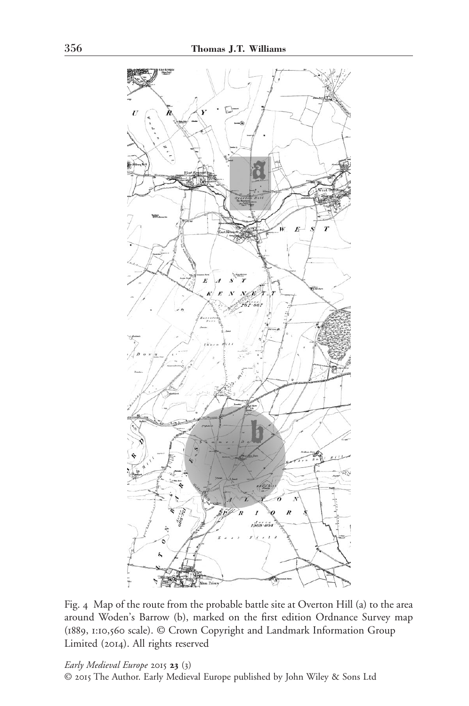

Fig. 4 Map of the route from the probable battle site at Overton Hill (a) to the area around Woden's Barrow (b), marked on the first edition Ordnance Survey map (1889, 1:10,560 scale). © Crown Copyright and Landmark Information Group Limited (2014). All rights reserved

## *Early Medieval Europe* 2015 **23** (3)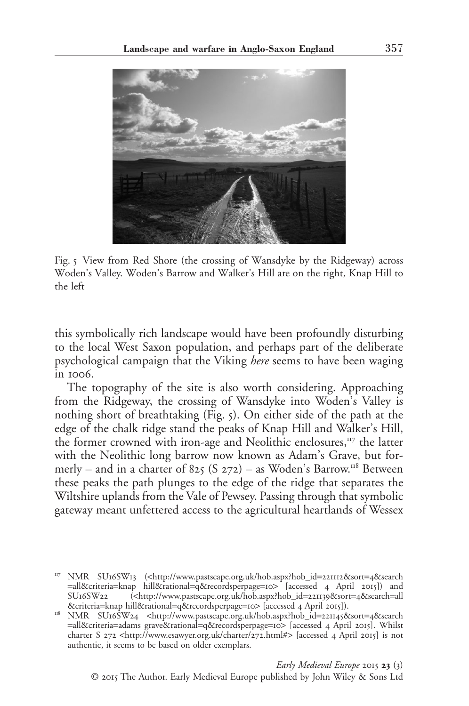

Fig. 5 View from Red Shore (the crossing of Wansdyke by the Ridgeway) across Woden's Valley. Woden's Barrow and Walker's Hill are on the right, Knap Hill to the left

this symbolically rich landscape would have been profoundly disturbing to the local West Saxon population, and perhaps part of the deliberate psychological campaign that the Viking *here* seems to have been waging in 1006.

The topography of the site is also worth considering. Approaching from the Ridgeway, the crossing of Wansdyke into Woden's Valley is nothing short of breathtaking (Fig. 5). On either side of the path at the edge of the chalk ridge stand the peaks of Knap Hill and Walker's Hill, the former crowned with iron-age and Neolithic enclosures,<sup>117</sup> the latter with the Neolithic long barrow now known as Adam's Grave, but formerly – and in a charter of 825 (S 272) – as Woden's Barrow.<sup>118</sup> Between these peaks the path plunges to the edge of the ridge that separates the Wiltshire uplands from the Vale of Pewsey. Passing through that symbolic gateway meant unfettered access to the agricultural heartlands of Wessex

<sup>117</sup> NMR SU16SW13 (<[http://www.pastscape.org.uk/hob.aspx?hob\\_id](http://www.pastscape.org.uk/hob.aspx?hob_id=221112&sort=4&search=all&criteria=knap%20hill&rational=q&recordsperpage=10)=221112&sort=4&search =all&criteria=[knap hill&rational](http://www.pastscape.org.uk/hob.aspx?hob_id=221112&sort=4&search=all&criteria=knap%20hill&rational=q&recordsperpage=10)=q&recordsperpage=10> [accessed 4 April 2015]) and SU16SW22 (<[http://www.pastscape.org.uk/hob.aspx?hob\\_id](http://www.pastscape.org.uk/hob.aspx?hob_id=221139&sort=4&search=all&criteria=knap%20hill&rational=q&recordsperpage=10)=221139&sort=4&search=all<br>&criteria=knap hill&rational=q&recordsperpage=10> [accessed 4 April 2015]).

ms NMR SU16SW24 <[http://www.pastscape.org.uk/hob.aspx?hob\\_id](http://www.pastscape.org.uk/hob.aspx?hob_id=221145&sort=4&search=all&criteria=adams%20grave&rational=q&recordsperpage=10)=221145&sort=4&search =all&criteria=[adams grave&rational](http://www.pastscape.org.uk/hob.aspx?hob_id=221145&sort=4&search=all&criteria=adams%20grave&rational=q&recordsperpage=10)=q&recordsperpage=10> [accessed 4 April 2015]. Whilst charter S 272 <[http://www.esawyer.org.uk/charter/](http://www.esawyer.org.uk/charter/272.html#)272.html#> [accessed 4 April 2015] is not authentic, it seems to be based on older exemplars.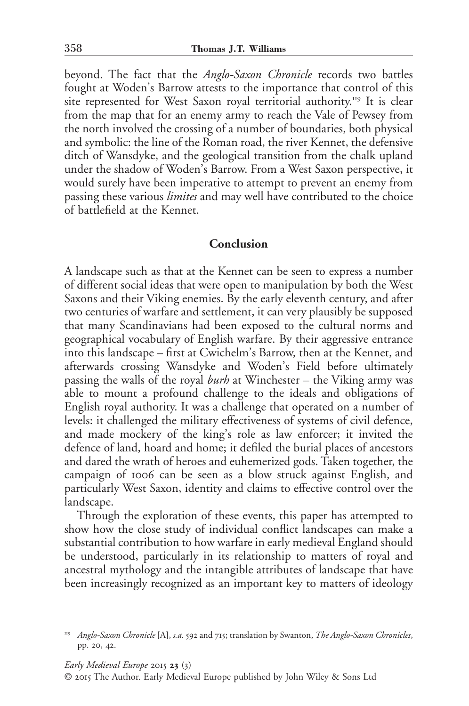beyond. The fact that the *Anglo-Saxon Chronicle* records two battles fought at Woden's Barrow attests to the importance that control of this site represented for West Saxon royal territorial authority.<sup>119</sup> It is clear from the map that for an enemy army to reach the Vale of Pewsey from the north involved the crossing of a number of boundaries, both physical and symbolic: the line of the Roman road, the river Kennet, the defensive ditch of Wansdyke, and the geological transition from the chalk upland under the shadow of Woden's Barrow. From a West Saxon perspective, it would surely have been imperative to attempt to prevent an enemy from passing these various *limites* and may well have contributed to the choice of battlefield at the Kennet.

## **Conclusion**

A landscape such as that at the Kennet can be seen to express a number of different social ideas that were open to manipulation by both the West Saxons and their Viking enemies. By the early eleventh century, and after two centuries of warfare and settlement, it can very plausibly be supposed that many Scandinavians had been exposed to the cultural norms and geographical vocabulary of English warfare. By their aggressive entrance into this landscape – first at Cwichelm's Barrow, then at the Kennet, and afterwards crossing Wansdyke and Woden's Field before ultimately passing the walls of the royal *burh* at Winchester – the Viking army was able to mount a profound challenge to the ideals and obligations of English royal authority. It was a challenge that operated on a number of levels: it challenged the military effectiveness of systems of civil defence, and made mockery of the king's role as law enforcer; it invited the defence of land, hoard and home; it defiled the burial places of ancestors and dared the wrath of heroes and euhemerized gods. Taken together, the campaign of 1006 can be seen as a blow struck against English, and particularly West Saxon, identity and claims to effective control over the landscape.

Through the exploration of these events, this paper has attempted to show how the close study of individual conflict landscapes can make a substantial contribution to how warfare in early medieval England should be understood, particularly in its relationship to matters of royal and ancestral mythology and the intangible attributes of landscape that have been increasingly recognized as an important key to matters of ideology

<sup>119</sup> *Anglo-Saxon Chronicle* [A], *s.a.* 592 and 715; translation by Swanton, *The Anglo-Saxon Chronicles*, pp. 20, 42.